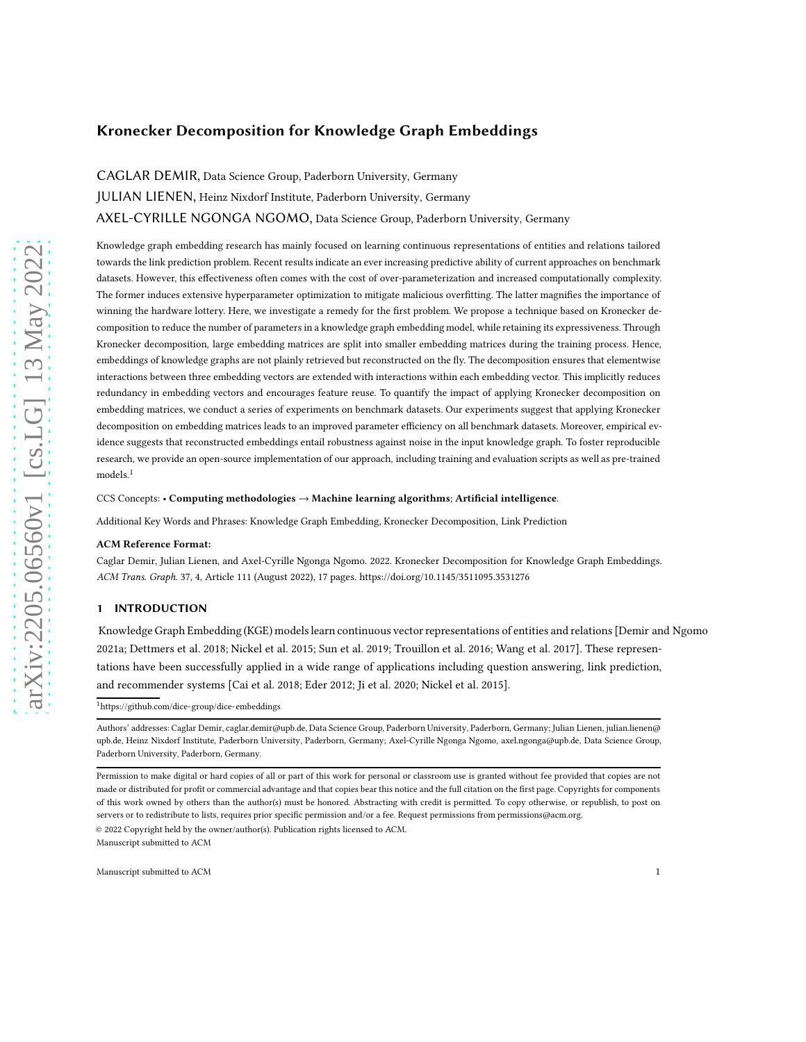# Kronecker Decomposition for Knowledge Graph Embeddings

[CAGLAR DEMIR,](HTTPS://ORCID.ORG/0000-0001-8970-3850) Data Science Group, Paderborn University, Germany [JULIAN LIENEN,](HTTPS://ORCID.ORG/0000-0003-2162-8107) Heinz Nixdorf Institute, Paderborn University, Germany [AXEL-CYRILLE NGONGA NGOMO,](HTTPS://ORCID.ORG/0000-0001-7112-3516) Data Science Group, Paderborn University, Germany

Knowledge graph embedding research has mainly focused on learning continuous representations of entities and relations tailored towards the link prediction problem. Recent results indicate an ever increasing predictive ability of current approaches on benchmark datasets. However, this effectiveness often comes with the cost of over-parameterization and increased computationally complexity. The former induces extensive hyperparameter optimization to mitigate malicious overfitting. The latter magnifies the importance of winning the hardware lottery. Here, we investigate a remedy for the first problem. We propose a technique based on Kronecker decomposition to reduce the number of parameters in a knowledge graph embedding model, while retaining its expressiveness. Through Kronecker decomposition, large embedding matrices are split into smaller embedding matrices during the training process. Hence, embeddings of knowledge graphs are not plainly retrieved but reconstructed on the fly. The decomposition ensures that elementwise interactions between three embedding vectors are extended with interactions within each embedding vector. This implicitly reduces redundancy in embedding vectors and encourages feature reuse. To quantify the impact of applying Kronecker decomposition on embedding matrices, we conduct a series of experiments on benchmark datasets. Our experiments suggest that applying Kronecker decomposition on embedding matrices leads to an improved parameter efficiency on all benchmark datasets. Moreover, empirical evidence suggests that reconstructed embeddings entail robustness against noise in the input knowledge graph. To foster reproducible research, we provide an open-source implementation of our approach, including training and evaluation scripts as well as pre-trained models.<sup>[1](#page-0-0)</sup>

CCS Concepts: • Computing methodologies → Machine learning algorithms; Artificial intelligence.

Additional Key Words and Phrases: Knowledge Graph Embedding, Kronecker Decomposition, Link Prediction

#### ACM Reference Format:

Caglar Demir, Julian Lienen, and Axel-Cyrille Ngonga Ngomo. 2022. Kronecker Decomposition for Knowledge Graph Embeddings. ACM Trans. Graph. 37, 4, Article 111 (August 2022), [17](#page-16-0) pages.<https://doi.org/10.1145/3511095.3531276>

### 1 INTRODUCTION

Knowledge Graph Embedding (KGE) models learn continuous vector representations of entities and relations [\[Demir and Ngomo](#page-14-0) [2021a](#page-14-0); [Dettmers et al. 2018](#page-14-1); [Nickel et al. 2015;](#page-15-0) [Sun et al. 2019](#page-16-1); [Trouillon et al. 2016;](#page-16-2) [Wang et al. 2017](#page-16-3)]. These representations have been successfully applied in a wide range of applications including question answering, link prediction, and recommender systems [\[Cai et al. 2018;](#page-14-2) [Eder 2012;](#page-14-3) [Ji et al.](#page-15-1) [2020;](#page-15-1) [Nickel et al. 2015\]](#page-15-0).

<sup>1</sup><https://github.com/dice-group/dice-embeddings>

© 2022 Copyright held by the owner/author(s). Publication rights licensed to ACM.

<span id="page-0-0"></span>Authors' addresses: [Caglar Demir,](https://orcid.org/0000-0001-8970-3850) caglar.demir@upb.de, Data Science Group, Paderborn University, Paderborn, Germany; [Julian Lienen,](https://orcid.org/0000-0003-2162-8107) julian.lienen@ upb.de, Heinz Nixdorf Institute, Paderborn University, Paderborn, Germany; [Axel-Cyrille Ngonga Ngomo,](https://orcid.org/0000-0001-7112-3516) axel.ngonga@upb.de, Data Science Group, Paderborn University, Paderborn, Germany.

Permission to make digital or hard copies of all or part of this work for personal or classroom use is granted without fee provided that copies are not made or distributed for profit or commercial advantage and that copies bear this notice and the full citation on the first page. Copyrights for components of this work owned by others than the author(s) must be honored. Abstracting with credit is permitted. To copy otherwise, or republish, to post on servers or to redistribute to lists, requires prior specific permission and/or a fee. Request permissions from permissions@acm.org.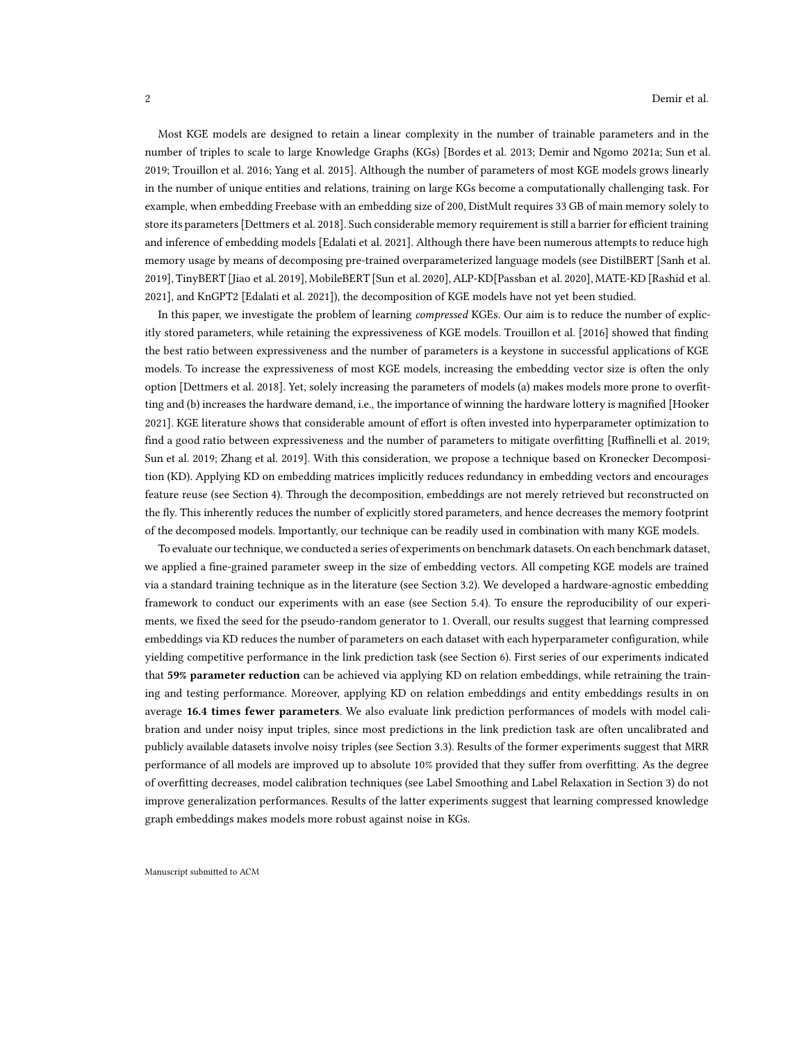Most KGE models are designed to retain a linear complexity in the number of trainable parameters and in the number of triples to scale to large Knowledge Graphs (KGs) [\[Bordes et al. 2013;](#page-14-4) [Demir and Ngomo 2021a](#page-14-0); [Sun et al.](#page-16-1) [2019;](#page-16-1) [Trouillon et al. 2016](#page-16-2); [Yang et al. 2015\]](#page-16-4). Although the number of parameters of most KGE models grows linearly in the number of unique entities and relations, training on large KGs become a computationally challenging task. For example, when embedding Freebase with an embedding size of 200, DistMult requires 33 GB of main memory solely to store its parameters [\[Dettmers et al. 2018](#page-14-1)]. Such considerable memory requirement is still a barrier for efficient training and inference of embedding models [\[Edalati et al. 2021](#page-14-5)]. Although there have been numerous attempts to reduce high memory usage by means of decomposing pre-trained overparameterized language models (see DistilBERT [\[Sanh et al.](#page-16-5) [2019\]](#page-16-5), TinyBERT [\[Jiao et al. 2019](#page-15-2)], MobileBERT [\[Sun et al. 2020\]](#page-16-6), ALP-KD[\[Passban et al. 2020\]](#page-16-7), MATE-KD [\[Rashid et al.](#page-16-8) [2021\]](#page-16-8), and KnGPT2 [\[Edalati et al. 2021\]](#page-14-5)), the decomposition of KGE models have not yet been studied.

In this paper, we investigate the problem of learning *compressed* KGEs. Our aim is to reduce the number of explicitly stored parameters, while retaining the expressiveness of KGE models. [Trouillon et al. \[2016\]](#page-16-2) showed that finding the best ratio between expressiveness and the number of parameters is a keystone in successful applications of KGE models. To increase the expressiveness of most KGE models, increasing the embedding vector size is often the only option [\[Dettmers et al. 2018\]](#page-14-1). Yet, solely increasing the parameters of models (a) makes models more prone to overfitting and (b) increases the hardware demand, i.e., the importance of winning the hardware lottery is magnified [\[Hooker](#page-15-3) [2021\]](#page-15-3). KGE literature shows that considerable amount of effort is often invested into hyperparameter optimization to find a good ratio between expressiveness and the number of parameters to mitigate overfitting [\[Ruffinelli et al. 2019](#page-16-9); [Sun et al. 2019](#page-16-1); [Zhang et al. 2019\]](#page-16-10). With this consideration, we propose a technique based on Kronecker Decomposition (KD). Applying KD on embedding matrices implicitly reduces redundancy in embedding vectors and encourages feature reuse (see Section [4\)](#page-6-0). Through the decomposition, embeddings are not merely retrieved but reconstructed on the fly. This inherently reduces the number of explicitly stored parameters, and hence decreases the memory footprint of the decomposed models. Importantly, our technique can be readily used in combination with many KGE models.

To evaluate our technique, we conducted a series of experiments on benchmark datasets. On each benchmark dataset, we applied a fine-grained parameter sweep in the size of embedding vectors. All competing KGE models are trained via a standard training technique as in the literature (see Section [3.2\)](#page-3-0). We developed a hardware-agnostic embedding framework to conduct our experiments with an ease (see Section [5.4\)](#page-9-0). To ensure the reproducibility of our experiments, we fixed the seed for the pseudo-random generator to 1. Overall, our results suggest that learning compressed embeddings via KD reduces the number of parameters on each dataset with each hyperparameter configuration, while yielding competitive performance in the link prediction task (see Section [6\)](#page-9-1). First series of our experiments indicated that 59% parameter reduction can be achieved via applying KD on relation embeddings, while retraining the training and testing performance. Moreover, applying KD on relation embeddings and entity embeddings results in on average 16.4 times fewer parameters. We also evaluate link prediction performances of models with model calibration and under noisy input triples, since most predictions in the link prediction task are often uncalibrated and publicly available datasets involve noisy triples (see Section [3.3\)](#page-3-1). Results of the former experiments suggest that MRR performance of all models are improved up to absolute 10% provided that they suffer from overfitting. As the degree of overfitting decreases, model calibration techniques (see Label Smoothing and Label Relaxation in Section [3\)](#page-2-0) do not improve generalization performances. Results of the latter experiments suggest that learning compressed knowledge graph embeddings makes models more robust against noise in KGs.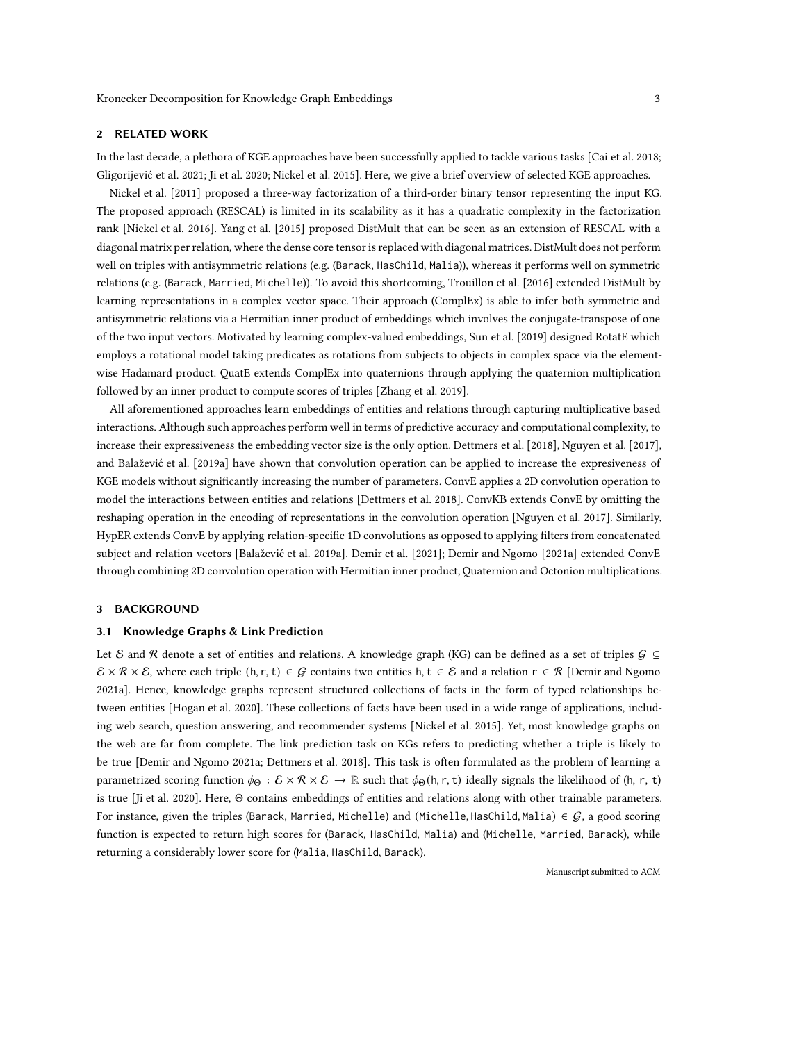### <span id="page-2-1"></span>2 RELATED WORK

In the last decade, a plethora of KGE approaches have been successfully applied to tackle various tasks [\[Cai et al. 2018;](#page-14-2) [Gligorijević et al. 2021;](#page-15-4) [Ji et al. 2020](#page-15-1); [Nickel et al. 2015\]](#page-15-0). Here, we give a brief overview of selected KGE approaches.

[Nickel et al. \[2011\]](#page-15-5) proposed a three-way factorization of a third-order binary tensor representing the input KG. The proposed approach (RESCAL) is limited in its scalability as it has a quadratic complexity in the factorization rank [\[Nickel et al. 2016\]](#page-15-6). [Yang et al. \[2015\]](#page-16-4) proposed DistMult that can be seen as an extension of RESCAL with a diagonal matrix per relation, where the dense core tensor isreplaced with diagonal matrices. DistMult does not perform well on triples with antisymmetric relations (e.g. (Barack, HasChild, Malia)), whereas it performs well on symmetric relations (e.g. (Barack, Married, Michelle)). To avoid this shortcoming, [Trouillon et al. \[2016\]](#page-16-2) extended DistMult by learning representations in a complex vector space. Their approach (ComplEx) is able to infer both symmetric and antisymmetric relations via a Hermitian inner product of embeddings which involves the conjugate-transpose of one of the two input vectors. Motivated by learning complex-valued embeddings, [Sun et al. \[2019\]](#page-16-1) designed RotatE which employs a rotational model taking predicates as rotations from subjects to objects in complex space via the elementwise Hadamard product. QuatE extends ComplEx into quaternions through applying the quaternion multiplication followed by an inner product to compute scores of triples [\[Zhang et al. 2019](#page-16-10)].

All aforementioned approaches learn embeddings of entities and relations through capturing multiplicative based interactions. Although such approaches perform well in terms of predictive accuracy and computational complexity, to increase their expressiveness the embedding vector size is the only option. [Dettmers et al. \[2018](#page-14-1)], [Nguyen et al. \[2017\]](#page-15-7), and [Balažević et al. \[2019a\]](#page-14-6) have shown that convolution operation can be applied to increase the expresiveness of KGE models without significantly increasing the number of parameters. ConvE applies a 2D convolution operation to model the interactions between entities and relations [\[Dettmers et al. 2018\]](#page-14-1). ConvKB extends ConvE by omitting the reshaping operation in the encoding of representations in the convolution operation [\[Nguyen et al. 2017\]](#page-15-7). Similarly, HypER extends ConvE by applying relation-specific 1D convolutions as opposed to applying filters from concatenated subject and relation vectors [\[Balažević et al. 2019a](#page-14-6)]. [Demir et al. \[2021\]](#page-14-7); [Demir and Ngomo \[2021a\]](#page-14-0) extended ConvE through combining 2D convolution operation with Hermitian inner product, Quaternion and Octonion multiplications.

### <span id="page-2-0"></span>3 BACKGROUND

#### 3.1 Knowledge Graphs & Link Prediction

Let E and R denote a set of entities and relations. A knowledge graph (KG) can be defined as a set of triples  $G \subseteq$  $\mathcal{E} \times \mathcal{R} \times \mathcal{E}$ , where each triple  $(h, r, t) \in \mathcal{G}$  contains two entities  $h, t \in \mathcal{E}$  and a relation  $r \in \mathcal{R}$  [\[Demir and Ngomo](#page-14-0) [2021a](#page-14-0)]. Hence, knowledge graphs represent structured collections of facts in the form of typed relationships between entities [\[Hogan et al. 2020\]](#page-15-8). These collections of facts have been used in a wide range of applications, including web search, question answering, and recommender systems [\[Nickel et al. 2015\]](#page-15-0). Yet, most knowledge graphs on the web are far from complete. The link prediction task on KGs refers to predicting whether a triple is likely to be true [\[Demir and Ngomo 2021a;](#page-14-0) [Dettmers et al. 2018](#page-14-1)]. This task is often formulated as the problem of learning a parametrized scoring function  $\phi_{\Theta}: \mathcal{E} \times \mathcal{R} \times \mathcal{E} \to \mathbb{R}$  such that  $\phi_{\Theta}(\mathsf{h}, \mathsf{r}, \mathsf{t})$  ideally signals the likelihood of (h, r, t) is true [\[Ji et al. 2020\]](#page-15-1). Here, Θ contains embeddings of entities and relations along with other trainable parameters. For instance, given the triples (Barack, Married, Michelle) and (Michelle, HasChild, Malia)  $\in G$ , a good scoring function is expected to return high scores for (Barack, HasChild, Malia) and (Michelle, Married, Barack), while returning a considerably lower score for (Malia, HasChild, Barack).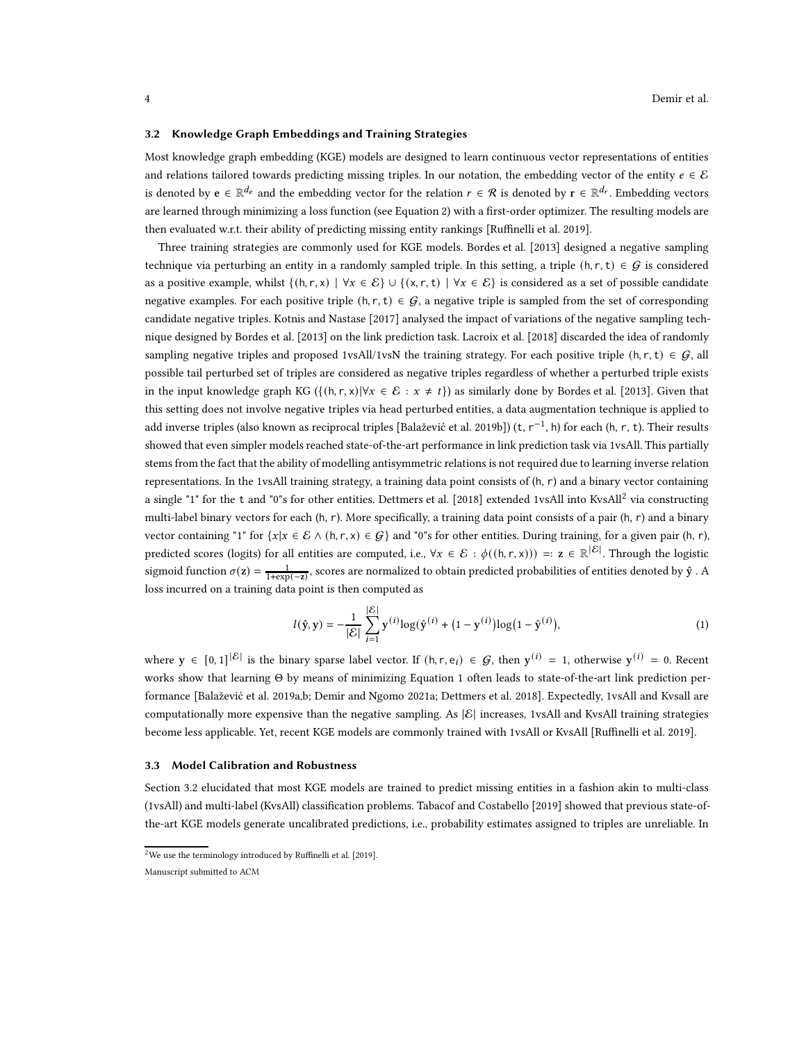#### <span id="page-3-0"></span>3.2 Knowledge Graph Embeddings and Training Strategies

Most knowledge graph embedding (KGE) models are designed to learn continuous vector representations of entities and relations tailored towards predicting missing triples. In our notation, the embedding vector of the entity  $e \in \mathcal{E}$ is denoted by  $e \in \mathbb{R}^{d_e}$  and the embedding vector for the relation  $r \in \mathcal{R}$  is denoted by  $r \in \mathbb{R}^{d_r}$ . Embedding vectors are learned through minimizing a loss function (see Equation [2\)](#page-4-0) with a first-order optimizer. The resulting models are then evaluated w.r.t. their ability of predicting missing entity rankings [\[Ruffinelli et al. 2019\]](#page-16-9).

Three training strategies are commonly used for KGE models. [Bordes et al. \[2013\]](#page-14-4) designed a negative sampling technique via perturbing an entity in a randomly sampled triple. In this setting, a triple  $(h, r, t) \in G$  is considered as a positive example, whilst  $\{(h, r, x) \mid \forall x \in \mathcal{E}\} \cup \{(x, r, t) \mid \forall x \in \mathcal{E}\}\$ is considered as a set of possible candidate negative examples. For each positive triple  $(h, r, t) \in G$ , a negative triple is sampled from the set of corresponding candidate negative triples. [Kotnis and Nastase \[2017](#page-15-9)] analysed the impact of variations of the negative sampling technique designed by [Bordes et al. \[2013\]](#page-14-4) on the link prediction task. [Lacroix et al. \[2018\]](#page-15-10) discarded the idea of randomly sampling negative triples and proposed 1vsAll/1vsN the training strategy. For each positive triple (h, r, t)  $\in$  G, all possible tail perturbed set of triples are considered as negative triples regardless of whether a perturbed triple exists in the input knowledge graph KG ( $\{(h, r, x) | \forall x \in \mathcal{E} : x \neq t\}$ ) as similarly done by [Bordes et al. \[2013](#page-14-4)]. Given that this setting does not involve negative triples via head perturbed entities, a data augmentation technique is applied to add inverse triples (also known as reciprocal triples [\[Balažević et al. 2019b\]](#page-14-8)) (t, r<sup>−1</sup>, h) for each (h, r, t). Their results showed that even simpler models reached state-of-the-art performance in link prediction task via 1vsAll. This partially stems from the fact that the ability of modelling antisymmetric relations is not required due to learning inverse relation representations. In the 1vsAll training strategy, a training data point consists of (h, r) and a binary vector containing a single "1" for the t and "0"s for other entities. [Dettmers et al. \[2018\]](#page-14-1) extended 1vsAll into KvsAll<sup>[2](#page-3-2)</sup> via constructing multi-label binary vectors for each  $(h, r)$ . More specifically, a training data point consists of a pair  $(h, r)$  and a binary vector containing "1" for  $\{x|x \in \mathcal{E} \land (h, r, x) \in \mathcal{G}\}\$  and "0"s for other entities. During training, for a given pair (h, r), predicted scores (logits) for all entities are computed, i.e.,  $\forall x \in \mathcal{E} : \phi((h, r, x))) =: z \in \mathbb{R}^{|\mathcal{E}|}$ . Through the logistic sigmoid function  $\sigma(z) = \frac{1}{1+\exp(-z)}$ , scores are normalized to obtain predicted probabilities of entities denoted by  $\hat{y}$  . A loss incurred on a training data point is then computed as

<span id="page-3-3"></span>
$$
l(\hat{\mathbf{y}}, \mathbf{y}) = -\frac{1}{|\mathcal{E}|} \sum_{i=1}^{|\mathcal{E}|} \mathbf{y}^{(i)} \log(\hat{\mathbf{y}}^{(i)} + (1 - \mathbf{y}^{(i)}) \log(1 - \hat{\mathbf{y}}^{(i)}),
$$
(1)

where  $y \in [0,1]^{|\mathcal{E}|}$  is the binary sparse label vector. If  $(h, r, e_i) \in \mathcal{G}$ , then  $y^{(i)} = 1$ , otherwise  $y^{(i)} = 0$ . Recent works show that learning Θ by means of minimizing Equation [1](#page-3-3) often leads to state-of-the-art link prediction performance [\[Balažević et al. 2019a](#page-14-6)[,b](#page-14-8); [Demir and Ngomo 2021a;](#page-14-0) [Dettmers et al. 2018](#page-14-1)]. Expectedly, 1vsAll and Kvsall are computationally more expensive than the negative sampling. As  $|\mathcal{E}|$  increases, 1vsAll and KvsAll training strategies become less applicable. Yet, recent KGE models are commonly trained with 1vsAll or KvsAll [\[Ruffinelli et al. 2019](#page-16-9)].

### <span id="page-3-1"></span>3.3 Model Calibration and Robustness

Section [3.2](#page-3-0) elucidated that most KGE models are trained to predict missing entities in a fashion akin to multi-class (1vsAll) and multi-label (KvsAll) classification problems. [Tabacof and Costabello \[2019\]](#page-16-11) showed that previous state-ofthe-art KGE models generate uncalibrated predictions, i.e., probability estimates assigned to triples are unreliable. In

 $2$ We use the terminology introduced by [Ruffinelli et al. \[2019](#page-16-9)].

<span id="page-3-2"></span>Manuscript submitted to ACM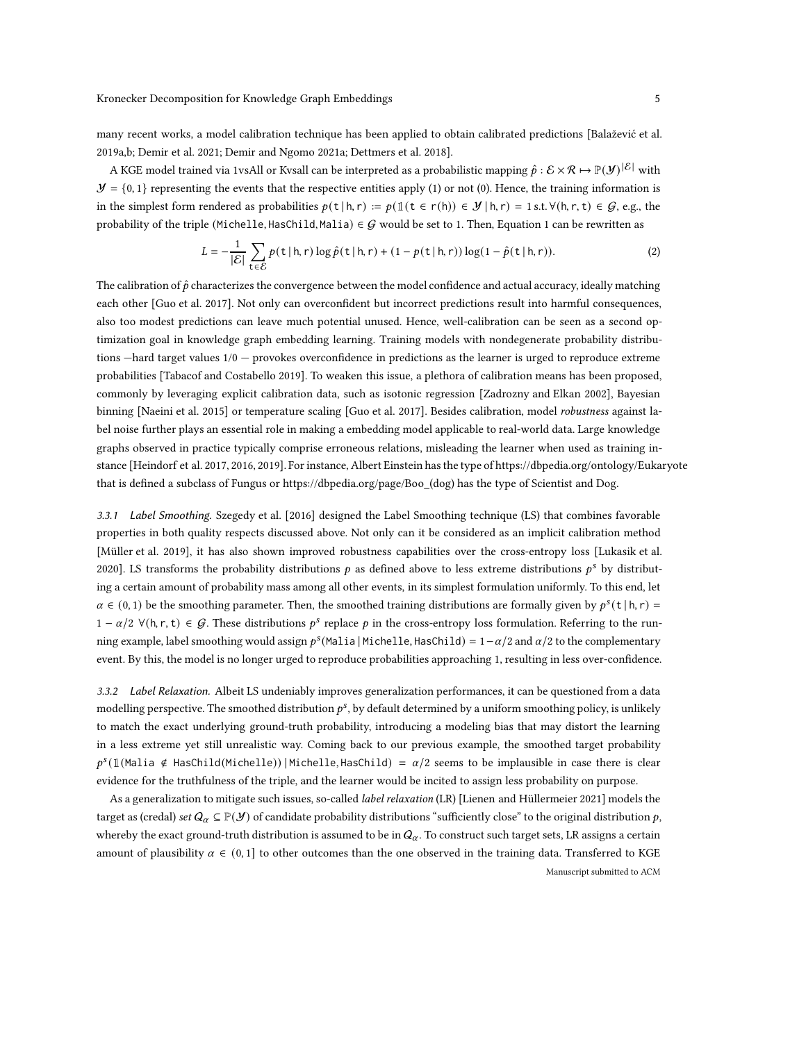many recent works, a model calibration technique has been applied to obtain calibrated predictions [\[Balažević et al.](#page-14-6) [2019a](#page-14-6)[,b;](#page-14-8) [Demir et al. 2021;](#page-14-7) [Demir and Ngomo 2021a](#page-14-0); [Dettmers et al. 2018](#page-14-1)].

A KGE model trained via 1vsAll or Kvsall can be interpreted as a probabilistic mapping  $\hat{p}: \mathcal{E} \times \mathcal{R} \mapsto \mathbb{P}(\mathcal{Y})^{|\mathcal{E}|}$  with  $\mathcal{Y} = \{0,1\}$  representing the events that the respective entities apply (1) or not (0). Hence, the training information is in the simplest form rendered as probabilities  $p(\mathsf{t} | \mathsf{h}, r) := p(\mathbb{1}(\mathsf{t} \in r(\mathsf{h})) \in \mathcal{Y} | \mathsf{h}, r) = 1$  s.t.  $\forall (\mathsf{h}, r, \mathsf{t}) \in \mathcal{G}$ , e.g., the probability of the triple (Michelle, HasChild, Malia)  $\in G$  would be set to [1](#page-3-3). Then, Equation 1 can be rewritten as

<span id="page-4-0"></span>
$$
L = -\frac{1}{|\mathcal{E}|} \sum_{t \in \mathcal{E}} p(t \mid h, r) \log \hat{p}(t \mid h, r) + (1 - p(t \mid h, r)) \log(1 - \hat{p}(t \mid h, r)). \tag{2}
$$

The calibration of  $\hat{p}$  characterizes the convergence between the model confidence and actual accuracy, ideally matching each other [\[Guo et al. 2017\]](#page-15-11). Not only can overconfident but incorrect predictions result into harmful consequences, also too modest predictions can leave much potential unused. Hence, well-calibration can be seen as a second optimization goal in knowledge graph embedding learning. Training models with nondegenerate probability distributions  $-$ hard target values  $1/0$  – provokes overconfidence in predictions as the learner is urged to reproduce extreme probabilities [\[Tabacof and Costabello 2019\]](#page-16-11). To weaken this issue, a plethora of calibration means has been proposed, commonly by leveraging explicit calibration data, such as isotonic regression [\[Zadrozny and Elkan 2002\]](#page-16-12), Bayesian binning [\[Naeini et al. 2015\]](#page-15-12) or temperature scaling [\[Guo et al. 2017\]](#page-15-11). Besides calibration, model robustness against label noise further plays an essential role in making a embedding model applicable to real-world data. Large knowledge graphs observed in practice typically comprise erroneous relations, misleading the learner when used as training instance [\[Heindorf et al. 2017](#page-15-13), [2016](#page-15-14), [2019\]](#page-15-15). For instance, Albert Einstein has the type of<https://dbpedia.org/ontology/Eukaryote> that is defined a subclass of Fungus or [https://dbpedia.org/page/Boo\\_\(dog\)](https://dbpedia.org/page/Boo_(dog)) has the type of Scientist and Dog.

3.3.1 Label Smoothing. [Szegedy et al. \[2016\]](#page-16-13) designed the Label Smoothing technique (LS) that combines favorable properties in both quality respects discussed above. Not only can it be considered as an implicit calibration method [Müller et al. 2019], it has also shown improved robustness capabilities over the cross-entropy loss [Lukasik et al. 2020]. LS transforms the probability distributions  $p$  as defined above to less extreme distributions  $p^s$  by distributing a certain amount of probability mass among all other events, in its simplest formulation uniformly. To this end, let  $\alpha \in (0, 1)$  be the smoothing parameter. Then, the smoothed training distributions are formally given by  $p^{s}(t | h, r) =$ 1 − α/2  $\forall$ (h, r, t) ∈ G. These distributions  $p^s$  replace p in the cross-entropy loss formulation. Referring to the running example, label smoothing would assign  $p^s$ (Malia | Michelle, HasChild) = 1– $\alpha/2$  and  $\alpha/2$  to the complementary event. By this, the model is no longer urged to reproduce probabilities approaching 1, resulting in less over-confidence.

3.3.2 Label Relaxation. Albeit LS undeniably improves generalization performances, it can be questioned from a data modelling perspective. The smoothed distribution  $p^s$ , by default determined by a uniform smoothing policy, is unlikely to match the exact underlying ground-truth probability, introducing a modeling bias that may distort the learning in a less extreme yet still unrealistic way. Coming back to our previous example, the smoothed target probability  $p^s(\mathbb{1}(\text{Malia } \notin \text{HasChild}(\text{Michelle})) | \text{Michelle}, \text{HasChild}) = \alpha/2 \text{ seems to be implausible in case there is clear}$ evidence for the truthfulness of the triple, and the learner would be incited to assign less probability on purpose.

As a generalization to mitigate such issues, so-called *label relaxation* (LR) [Lienen and Hüllermeier 2021] models the target as (credal) set  $Q_\alpha \subseteq \mathbb{P}(\mathcal{Y})$  of candidate probability distributions "sufficiently close" to the original distribution p, whereby the exact ground-truth distribution is assumed to be in  $Q_\alpha$ . To construct such target sets, LR assigns a certain amount of plausibility  $\alpha \in (0,1]$  to other outcomes than the one observed in the training data. Transferred to KGE Manuscript submitted to ACM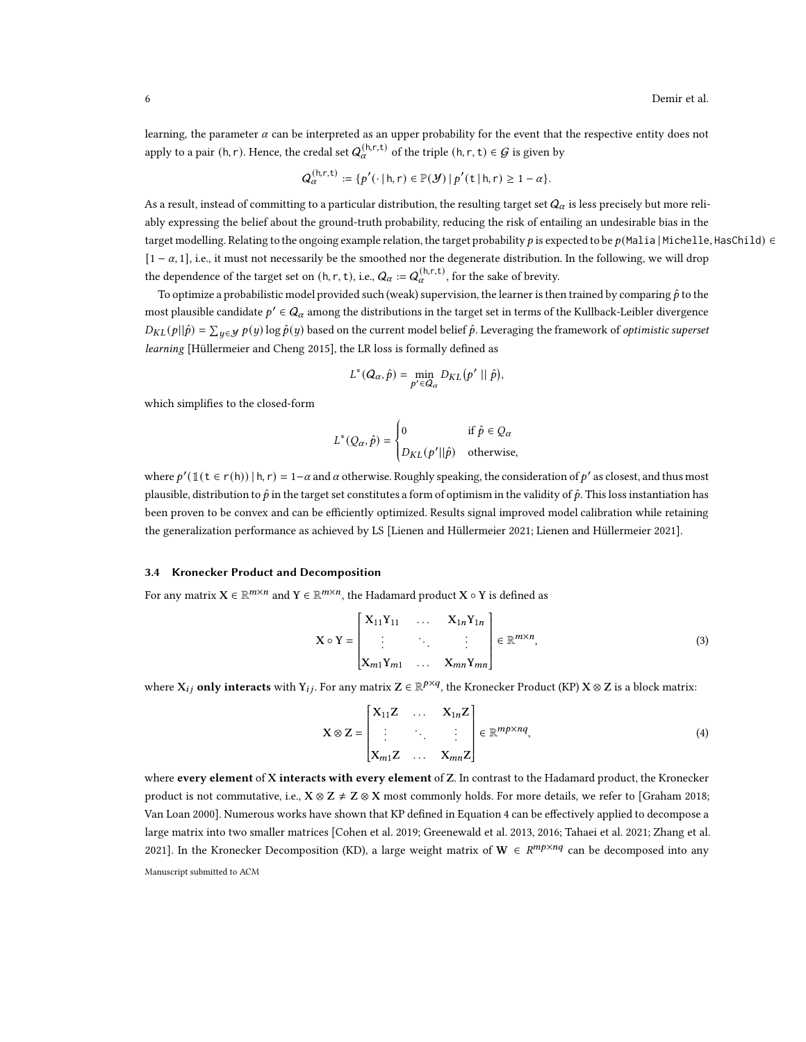learning, the parameter  $\alpha$  can be interpreted as an upper probability for the event that the respective entity does not apply to a pair (h, r). Hence, the credal set  $Q_{\alpha}^{(h,r,t)}$  of the triple (h, r, t)  $\in G$  is given by

$$
Q_{\alpha}^{(h,r,t)} := \{p'(\cdot \mid h,r) \in \mathbb{P}(\mathcal{Y}) \mid p'(t \mid h,r) \geq 1 - \alpha\}.
$$

As a result, instead of committing to a particular distribution, the resulting target set  $Q_\alpha$  is less precisely but more reliably expressing the belief about the ground-truth probability, reducing the risk of entailing an undesirable bias in the target modelling. Relating to the ongoing example relation, the target probability p is expected to be  $p($ Malia | Michelle, HasChild)  $\in$  $[1 - \alpha, 1]$ , i.e., it must not necessarily be the smoothed nor the degenerate distribution. In the following, we will drop the dependence of the target set on  $(h, r, t)$ , i.e.,  $Q_{\alpha} := Q_{\alpha}^{(h, r, t)}$ , for the sake of brevity.

To optimize a probabilistic model provided such (weak) supervision, the learner is then trained by comparing  $\hat{p}$  to the most plausible candidate  $p' \in Q_\alpha$  among the distributions in the target set in terms of the Kullback-Leibler divergence  $D_{KL}(p||\hat{p}) = \sum_{y\in\mathcal{Y}}p(y)\log\hat{p}(y)$  based on the current model belief  $\hat{p}$ . Leveraging the framework of *optimistic superset* learning [\[Hüllermeier and Cheng 2015\]](#page-15-16), the LR loss is formally defined as

$$
L^*(Q_\alpha, \hat{p}) = \min_{p' \in Q_\alpha} D_{KL}(p' || \hat{p}),
$$

which simplifies to the closed-form

$$
L^*(Q_\alpha, \hat{p}) = \begin{cases} 0 & \text{if } \hat{p} \in Q_\alpha \\ D_{KL}(p' || \hat{p}) & \text{otherwise,} \end{cases}
$$

where  $p'(\mathbb{1}$  ( $t \in r(h)) | h, r) = 1-\alpha$  and  $\alpha$  otherwise. Roughly speaking, the consideration of  $p'$  as closest, and thus most plausible, distribution to  $\hat{p}$  in the target set constitutes a form of optimism in the validity of  $\hat{p}$ . This loss instantiation has been proven to be convex and can be efficiently optimized. Results signal improved model calibration while retaining the generalization performance as achieved by LS [\[Lienen and Hüllermeier 2021](#page-15-17); Lienen and Hüllermeier 2021].

### <span id="page-5-1"></span>3.4 Kronecker Product and Decomposition

For any matrix  $X \in \mathbb{R}^{m \times n}$  and  $Y \in \mathbb{R}^{m \times n}$ , the Hadamard product  $X \circ Y$  is defined as

$$
\mathbf{X} \circ \mathbf{Y} = \begin{bmatrix} \mathbf{X}_{11} \mathbf{Y}_{11} & \dots & \mathbf{X}_{1n} \mathbf{Y}_{1n} \\ \vdots & \ddots & \vdots \\ \mathbf{X}_{m1} \mathbf{Y}_{m1} & \dots & \mathbf{X}_{mn} \mathbf{Y}_{mn} \end{bmatrix} \in \mathbb{R}^{m \times n},
$$
(3)

where  $X_{ij}$  only interacts with  $Y_{ij}$ . For any matrix  $Z \in \mathbb{R}^{p \times q}$ , the Kronecker Product (KP)  $X \otimes Z$  is a block matrix:

<span id="page-5-0"></span>
$$
\mathbf{X} \otimes \mathbf{Z} = \begin{bmatrix} \mathbf{X}_{11} \mathbf{Z} & \dots & \mathbf{X}_{1n} \mathbf{Z} \\ \vdots & \ddots & \vdots \\ \mathbf{X}_{m1} \mathbf{Z} & \dots & \mathbf{X}_{mn} \mathbf{Z} \end{bmatrix} \in \mathbb{R}^{mp \times nq},\tag{4}
$$

where every element of X interacts with every element of Z. In contrast to the Hadamard product, the Kronecker product is not commutative, i.e.,  $X \otimes Z \neq Z \otimes X$  most commonly holds. For more details, we refer to [\[Graham 2018](#page-15-18); [Van Loan 2000](#page-16-14)]. Numerous works have shown that KP defined in Equation [4](#page-5-0) can be effectively applied to decompose a large matrix into two smaller matrices [\[Cohen et al. 2019;](#page-14-9) [Greenewald et al. 2013,](#page-15-19) [2016](#page-15-20); [Tahaei et al. 2021](#page-16-15); [Zhang et al.](#page-16-16) [2021\]](#page-16-16). In the Kronecker Decomposition (KD), a large weight matrix of  $W \in R^{mp \times nq}$  can be decomposed into any

Manuscript submitted to ACM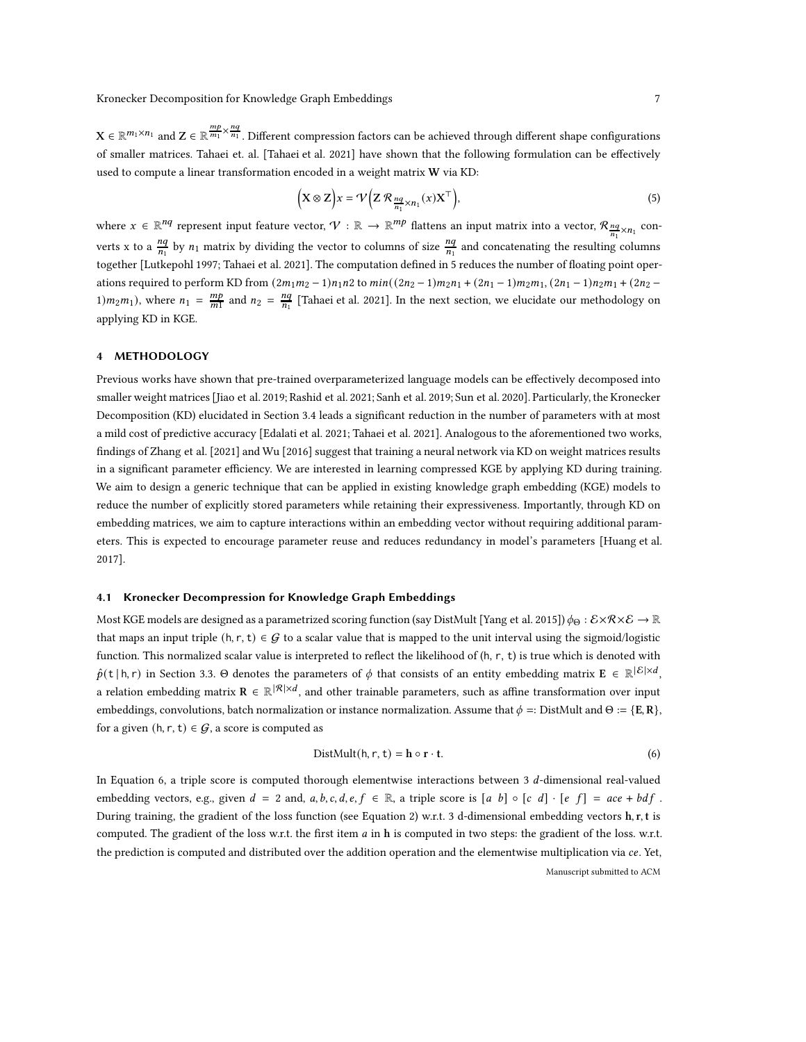$\mathbf{X} \in \mathbb{R}^{m_1 \times n_1}$  and  $\mathbf{Z} \in \mathbb{R}^{\frac{m p}{m_1} \times \frac{n q}{n_1}}$ . Different compression factors can be achieved through different shape configurations of smaller matrices. Tahaei et. al. [\[Tahaei et al. 2021\]](#page-16-15) have shown that the following formulation can be effectively used to compute a linear transformation encoded in a weight matrix W via KD:

<span id="page-6-1"></span>
$$
\left(\mathbf{X}\otimes\mathbf{Z}\right)\mathbf{x}=\mathcal{V}\left(\mathbf{Z}\mathcal{R}_{\frac{nq}{n_1}\times n_1}(x)\mathbf{X}^{\top}\right),\tag{5}
$$

where  $x \in \mathbb{R}^{nq}$  represent input feature vector,  $\mathcal{V} : \mathbb{R} \to \mathbb{R}^{m}$  flattens an input matrix into a vector,  $\mathcal{R}_{\frac{nq}{n_1} \times n_1}$  converts x to a  $\frac{nq}{n_1}$  by  $n_1$  matrix by dividing the vector to columns of size  $\frac{nq}{n_1}$  and concatenating the resulting columns together [\[Lutkepohl 1997;](#page-15-21) [Tahaei et al. 2021\]](#page-16-15). The computation defined in [5](#page-6-1) reduces the number of floating point operations required to perform KD from  $(2m_1m_2 - 1)n_1n_2$  to  $min((2n_2 - 1)m_2n_1 + (2n_1 - 1)m_2m_1, (2n_1 - 1)n_2m_1 + (2n_2 - 1)m_2m_2)$ 1) $m_2m_1$ ), where  $n_1 = \frac{mp}{m_1}$  and  $n_2 = \frac{nq}{n_1}$  [\[Tahaei et al. 2021\]](#page-16-15). In the next section, we elucidate our methodology on applying KD in KGE.

## <span id="page-6-0"></span>4 METHODOLOGY

Previous works have shown that pre-trained overparameterized language models can be effectively decomposed into smaller weight matrices [\[Jiao et al. 2019](#page-15-2); [Rashid et al. 2021;](#page-16-8) [Sanh et al. 2019](#page-16-5); [Sun et al. 2020\]](#page-16-6). Particularly, the Kronecker Decomposition (KD) elucidated in Section [3.4](#page-5-1) leads a significant reduction in the number of parameters with at most a mild cost of predictive accuracy [\[Edalati et al. 2021;](#page-14-5) [Tahaei et al. 2021\]](#page-16-15). Analogous to the aforementioned two works, findings of [Zhang et al. \[2021](#page-16-16)] and [Wu \[2016](#page-16-17)] suggest that training a neural network via KD on weight matrices results in a significant parameter efficiency. We are interested in learning compressed KGE by applying KD during training. We aim to design a generic technique that can be applied in existing knowledge graph embedding (KGE) models to reduce the number of explicitly stored parameters while retaining their expressiveness. Importantly, through KD on embedding matrices, we aim to capture interactions within an embedding vector without requiring additional parameters. This is expected to encourage parameter reuse and reduces redundancy in model's parameters [\[Huang et al.](#page-15-22) [2017](#page-15-22)].

### 4.1 Kronecker Decompression for Knowledge Graph Embeddings

Most KGE models are designed as a parametrized scoring function (say DistMult [\[Yang et al. 2015\]](#page-16-4))  $\phi_{\Theta}: \mathcal{E} \times \mathcal{R} \times \mathcal{E} \to \mathbb{R}$ that maps an input triple  $(h, r, t) \in G$  to a scalar value that is mapped to the unit interval using the sigmoid/logistic function. This normalized scalar value is interpreted to reflect the likelihood of (h, r, t) is true which is denoted with  $\hat{p}(\mathsf{t} \mid \mathsf{h}, \mathsf{r})$  in Section [3.3.](#page-3-1)  $\Theta$  denotes the parameters of  $\phi$  that consists of an entity embedding matrix  $\mathbf{E} \in \mathbb{R}^{|\mathcal{E}| \times d}$ , a relation embedding matrix  $\mathbf{R} \in \mathbb{R}^{|\mathcal{R}| \times d}$ , and other trainable parameters, such as affine transformation over input embeddings, convolutions, batch normalization or instance normalization. Assume that  $\phi =: \text{DistMult} \text{ and } \Theta := \{E, R\},$ for a given  $(h, r, t) \in G$ , a score is computed as

<span id="page-6-2"></span>
$$
DistMult(h, r, t) = h \circ r \cdot t.
$$
 (6)

In Equation [6,](#page-6-2) a triple score is computed thorough elementwise interactions between 3  $d$ -dimensional real-valued embedding vectors, e.g., given  $d = 2$  and,  $a, b, c, d, e, f \in \mathbb{R}$ , a triple score is  $[a, b] \circ [c, d] \cdot [e, f] = ace + bdf$ . During training, the gradient of the loss function (see Equation [2\)](#page-4-0) w.r.t. 3 d-dimensional embedding vectors h, r, t is computed. The gradient of the loss w.r.t. the first item  $a$  in h is computed in two steps: the gradient of the loss. w.r.t. the prediction is computed and distributed over the addition operation and the elementwise multiplication via ce. Yet, Manuscript submitted to ACM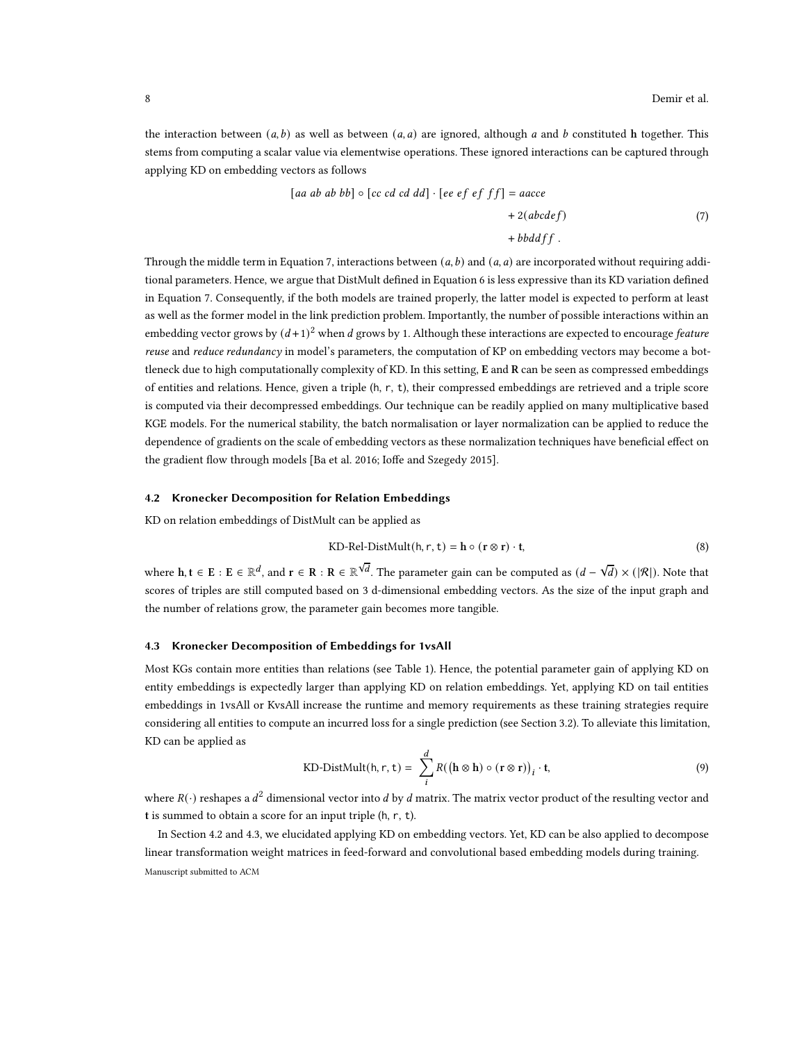the interaction between  $(a, b)$  as well as between  $(a, a)$  are ignored, although  $a$  and  $b$  constituted  $h$  together. This stems from computing a scalar value via elementwise operations. These ignored interactions can be captured through applying KD on embedding vectors as follows

<span id="page-7-0"></span>
$$
[aa\ ab\ ab\ bb]\circ [cc\ cd\ cd\ dd]\cdot [ee\ ef\ ef\ ff] = aacce
$$
  
 
$$
+ 2(abcdef)
$$
  
 
$$
+ bbddff.
$$
 (7)

Through the middle term in Equation [7,](#page-7-0) interactions between  $(a, b)$  and  $(a, a)$  are incorporated without requiring additional parameters. Hence, we argue that DistMult defined in Equation [6](#page-6-2) is less expressive than its KD variation defined in Equation [7.](#page-7-0) Consequently, if the both models are trained properly, the latter model is expected to perform at least as well as the former model in the link prediction problem. Importantly, the number of possible interactions within an embedding vector grows by  $(d+1)^2$  when d grows by 1. Although these interactions are expected to encourage *feature* reuse and reduce redundancy in model's parameters, the computation of KP on embedding vectors may become a bottleneck due to high computationally complexity of KD. In this setting, E and R can be seen as compressed embeddings of entities and relations. Hence, given a triple (h, r, t), their compressed embeddings are retrieved and a triple score is computed via their decompressed embeddings. Our technique can be readily applied on many multiplicative based KGE models. For the numerical stability, the batch normalisation or layer normalization can be applied to reduce the dependence of gradients on the scale of embedding vectors as these normalization techniques have beneficial effect on the gradient flow through models [\[Ba et al. 2016;](#page-14-10) [Ioffe and Szegedy 2015\]](#page-15-23).

### <span id="page-7-1"></span>4.2 Kronecker Decomposition for Relation Embeddings

KD on relation embeddings of DistMult can be applied as

KD-Rel-DistMult(h, r, t) = 
$$
\mathbf{h} \circ (\mathbf{r} \otimes \mathbf{r}) \cdot \mathbf{t}
$$
, (8)

where  $h, t \in E : E \in \mathbb{R}^d$ , and  $r \in R : R \in \mathbb{R}^{\sqrt{d}}$ . The parameter gain can be computed as  $(d - \sqrt{d}) \times (|\mathcal{R}|)$ . Note that scores of triples are still computed based on 3 d-dimensional embedding vectors. As the size of the input graph and the number of relations grow, the parameter gain becomes more tangible.

#### <span id="page-7-2"></span>4.3 Kronecker Decomposition of Embeddings for 1vsAll

Most KGs contain more entities than relations (see Table [1\)](#page-8-0). Hence, the potential parameter gain of applying KD on entity embeddings is expectedly larger than applying KD on relation embeddings. Yet, applying KD on tail entities embeddings in 1vsAll or KvsAll increase the runtime and memory requirements as these training strategies require considering all entities to compute an incurred loss for a single prediction (see Section [3.2\)](#page-3-0). To alleviate this limitation, KD can be applied as

KD-DistMult(h, r, t) = 
$$
\sum_{i}^{d} R((\mathbf{h} \otimes \mathbf{h}) \circ (\mathbf{r} \otimes \mathbf{r}))_{i} \cdot \mathbf{t},
$$
 (9)

where  $R(\cdot)$  reshapes a  $d^2$  dimensional vector into  $d$  by  $d$  matrix. The matrix vector product of the resulting vector and t is summed to obtain a score for an input triple (h, r, t).

In Section [4.2](#page-7-1) and [4.3,](#page-7-2) we elucidated applying KD on embedding vectors. Yet, KD can be also applied to decompose linear transformation weight matrices in feed-forward and convolutional based embedding models during training. Manuscript submitted to ACM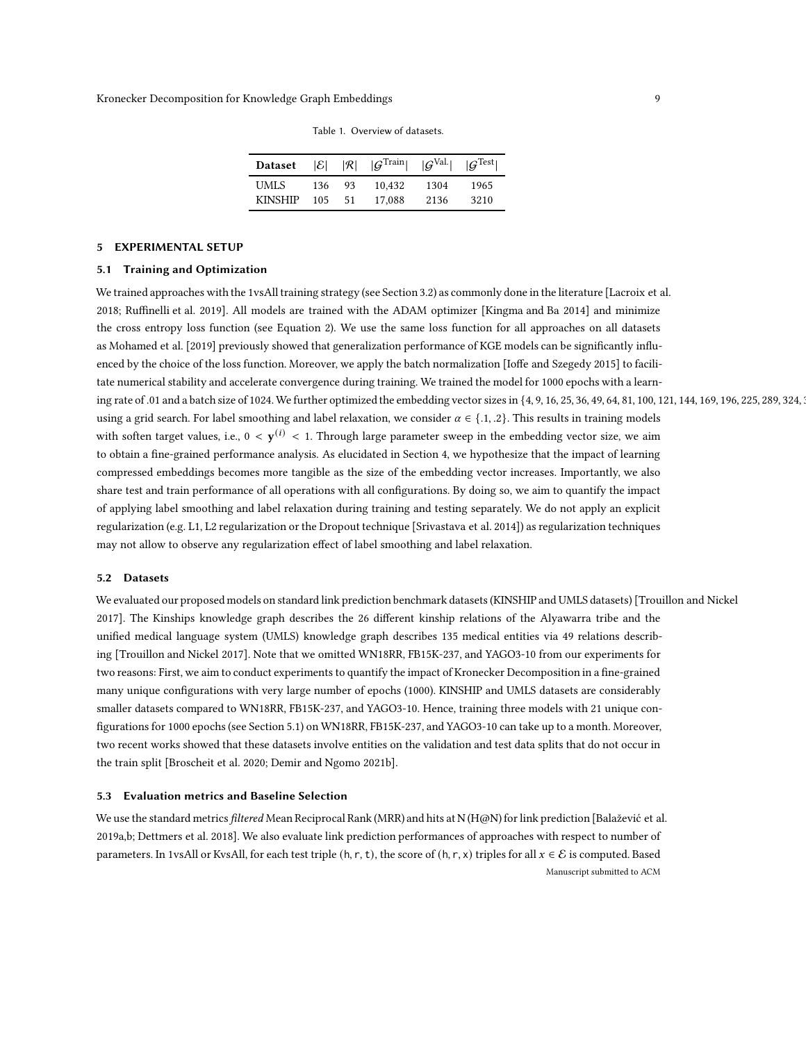| <b>Dataset</b> |        |    | $ \mathcal{E}  =  \mathcal{R}  =  \mathcal{G}^{\text{Train}}  =  \mathcal{G}^{\text{Val.}}  =  \mathcal{G}^{\text{Test}} $ |      |      |
|----------------|--------|----|----------------------------------------------------------------------------------------------------------------------------|------|------|
| <b>UMLS</b>    | 136    | 93 | 10.432                                                                                                                     | 1304 | 1965 |
| <b>KINSHIP</b> | 105 51 |    | 17,088                                                                                                                     | 2136 | 3210 |

Table 1. Overview of datasets.

## <span id="page-8-1"></span><span id="page-8-0"></span>5 EXPERIMENTAL SETUP

#### 5.1 Training and Optimization

We trained approaches with the 1vsAll training strategy (see Section [3.2\)](#page-3-0) as commonly done in the literature [\[Lacroix et](#page-15-10) al. [2018](#page-15-10); [Ruffinelli et al. 2019](#page-16-9)]. All models are trained with the ADAM optimizer [\[Kingma and Ba 2014\]](#page-15-24) and minimize the cross entropy loss function (see Equation [2\)](#page-4-0). We use the same loss function for all approaches on all datasets as [Mohamed et al. \[2019](#page-15-25)] previously showed that generalization performance of KGE models can be significantly influenced by the choice of the loss function. Moreover, we apply the batch normalization [\[Ioffe and Szegedy 2015](#page-15-23)] to facilitate numerical stability and accelerate convergence during training. We trained the model for 1000 epochs with a learning rate of .01 and a batch size of 1024.We further optimized the embedding vector sizes in {4, 9, 16, 25, 36, 49, 64, 81, 100, 121, 144, 169, 196, 225, 289, 324, 361, 400} using a grid search. For label smoothing and label relaxation, we consider  $\alpha \in \{1, 2\}$ . This results in training models with soften target values, i.e.,  $0 < y^{(i)} < 1$ . Through large parameter sweep in the embedding vector size, we aim to obtain a fine-grained performance analysis. As elucidated in Section [4,](#page-6-0) we hypothesize that the impact of learning compressed embeddings becomes more tangible as the size of the embedding vector increases. Importantly, we also share test and train performance of all operations with all configurations. By doing so, we aim to quantify the impact of applying label smoothing and label relaxation during training and testing separately. We do not apply an explicit regularization (e.g. L1, L2 regularization or the Dropout technique [\[Srivastava et al. 2014](#page-16-18)]) as regularization techniques may not allow to observe any regularization effect of label smoothing and label relaxation.

#### 5.2 Datasets

We evaluated our proposed models on standard link prediction benchmark datasets (KINSHIP and UMLS datasets) [\[Trouillon and Nickel](#page-16-19) [2017](#page-16-19)]. The Kinships knowledge graph describes the 26 different kinship relations of the Alyawarra tribe and the unified medical language system (UMLS) knowledge graph describes 135 medical entities via 49 relations describing [\[Trouillon and Nickel 2017](#page-16-19)]. Note that we omitted WN18RR, FB15K-237, and YAGO3-10 from our experiments for two reasons: First, we aim to conduct experiments to quantify the impact of Kronecker Decomposition in a fine-grained many unique configurations with very large number of epochs (1000). KINSHIP and UMLS datasets are considerably smaller datasets compared to WN18RR, FB15K-237, and YAGO3-10. Hence, training three models with 21 unique configurations for 1000 epochs (see Section [5.1\)](#page-8-1) on WN18RR, FB15K-237, and YAGO3-10 can take up to a month. Moreover, two recent works showed that these datasets involve entities on the validation and test data splits that do not occur in the train split [\[Broscheit et al. 2020;](#page-14-11) [Demir and Ngomo 2021b](#page-14-12)].

## 5.3 Evaluation metrics and Baseline Selection

We use the standard metrics filtered Mean Reciprocal Rank (MRR) and hits at N (H@N) for link prediction [\[Balažević et al.](#page-14-6) [2019a](#page-14-6)[,b;](#page-14-8) [Dettmers et al. 2018](#page-14-1)]. We also evaluate link prediction performances of approaches with respect to number of parameters. In 1vsAll or KvsAll, for each test triple (h, r, t), the score of (h, r, x) triples for all  $x \in \mathcal{E}$  is computed. Based Manuscript submitted to ACM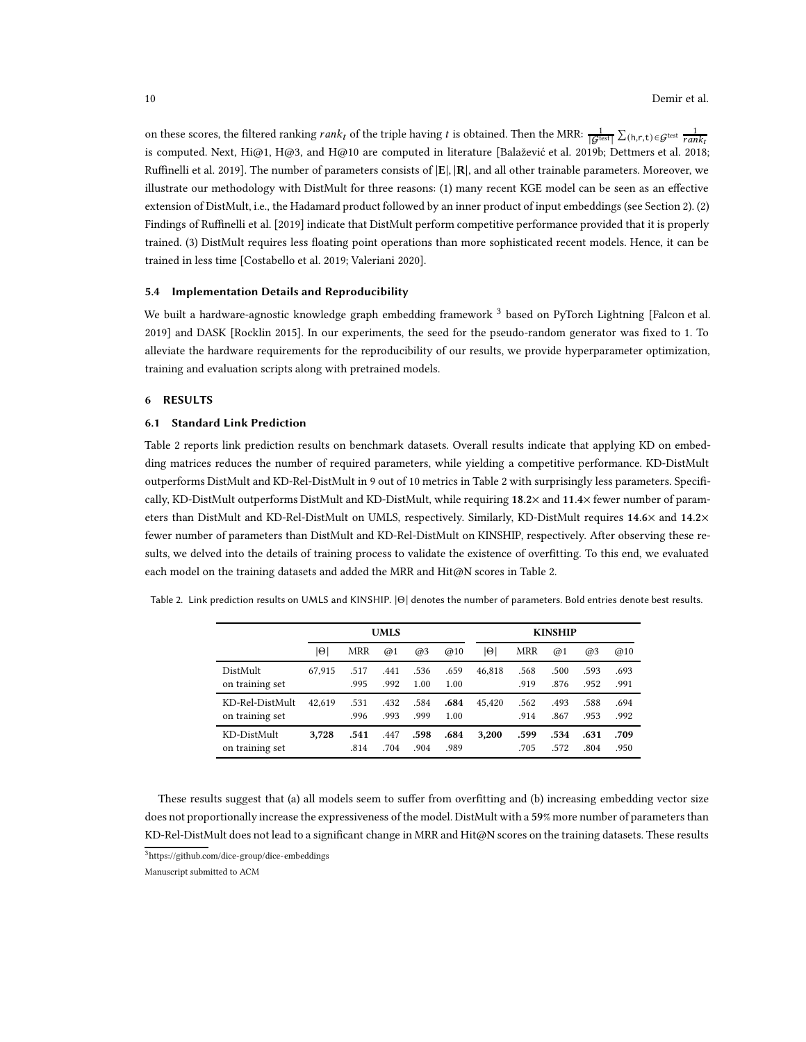on these scores, the filtered ranking  $rank_t$  of the triple having t is obtained. Then the MRR:  $\frac{1}{|\mathcal{G}^{\text{test}}|} \sum_{(h,r,t) \in \mathcal{G}^{\text{test}}} \frac{1}{rank_t}$ is computed. Next, Hi@1, H@3, and H@10 are computed in literature [\[Balažević et al. 2019b;](#page-14-8) [Dettmers et al. 2018](#page-14-1); [Ruffinelli et al. 2019\]](#page-16-9). The number of parameters consists of |E|, |R|, and all other trainable parameters. Moreover, we illustrate our methodology with DistMult for three reasons: (1) many recent KGE model can be seen as an effective extension of DistMult, i.e., the Hadamard product followed by an inner product of input embeddings (see Section [2\)](#page-2-1). (2) Findings of [Ruffinelli et al. \[2019](#page-16-9)] indicate that DistMult perform competitive performance provided that it is properly trained. (3) DistMult requires less floating point operations than more sophisticated recent models. Hence, it can be trained in less time [\[Costabello et al. 2019;](#page-14-13) [Valeriani 2020\]](#page-16-20).

#### <span id="page-9-0"></span>5.4 Implementation Details and Reproducibility

We built a hardware-agnostic knowledge graph embedding framework<sup>[3](#page-9-2)</sup> based on PyTorch Lightning [\[Falcon et al.](#page-15-26) [2019\]](#page-15-26) and DASK [\[Rocklin 2015\]](#page-16-21). In our experiments, the seed for the pseudo-random generator was fixed to 1. To alleviate the hardware requirements for the reproducibility of our results, we provide hyperparameter optimization, training and evaluation scripts along with pretrained models.

## <span id="page-9-1"></span>6 RESULTS

#### 6.1 Standard Link Prediction

Table [2](#page-9-3) reports link prediction results on benchmark datasets. Overall results indicate that applying KD on embedding matrices reduces the number of required parameters, while yielding a competitive performance. KD-DistMult outperforms DistMult and KD-Rel-DistMult in 9 out of 10 metrics in Table [2](#page-9-3) with surprisingly less parameters. Specifically, KD-DistMult outperforms DistMult and KD-DistMult, while requiring 18.2× and 11.4× fewer number of parameters than DistMult and KD-Rel-DistMult on UMLS, respectively. Similarly, KD-DistMult requires 14.6× and 14.2× fewer number of parameters than DistMult and KD-Rel-DistMult on KINSHIP, respectively. After observing these results, we delved into the details of training process to validate the existence of overfitting. To this end, we evaluated each model on the training datasets and added the MRR and Hit@N scores in Table [2.](#page-9-3)

<span id="page-9-3"></span>Table 2. Link prediction results on UMLS and KINSHIP. <sup>|</sup>Θ<sup>|</sup> denotes the number of parameters. Bold entries denote best results.

|                                    |        |              | <b>UMLS</b>  |              |              | <b>KINSHIP</b> |              |              |              |              |  |
|------------------------------------|--------|--------------|--------------|--------------|--------------|----------------|--------------|--------------|--------------|--------------|--|
|                                    | 101    | MRR          | @1           | @3           | @10          | $ \Theta $     | MRR          | @1           | @3           | @10          |  |
| DistMult<br>on training set        | 67,915 | .517<br>.995 | .441<br>.992 | .536<br>1.00 | .659<br>1.00 | 46,818         | .568<br>.919 | .500<br>.876 | .593<br>.952 | .693<br>.991 |  |
| KD-Rel-DistMult<br>on training set | 42.619 | .531<br>.996 | .432<br>.993 | .584<br>.999 | .684<br>1.00 | 45.420         | .562<br>.914 | .493<br>.867 | .588<br>.953 | .694<br>.992 |  |
| KD-DistMult<br>on training set     | 3,728  | .541<br>.814 | .447<br>.704 | .598<br>.904 | .684<br>.989 | 3.200          | .599<br>.705 | .534<br>.572 | .631<br>.804 | .709<br>.950 |  |

These results suggest that (a) all models seem to suffer from overfitting and (b) increasing embedding vector size does not proportionally increase the expressiveness of the model. DistMult with a 59% more number of parameters than KD-Rel-DistMult does not lead to a significant change in MRR and Hit@N scores on the training datasets. These results

<sup>3</sup><https://github.com/dice-group/dice-embeddings>

<span id="page-9-2"></span>Manuscript submitted to ACM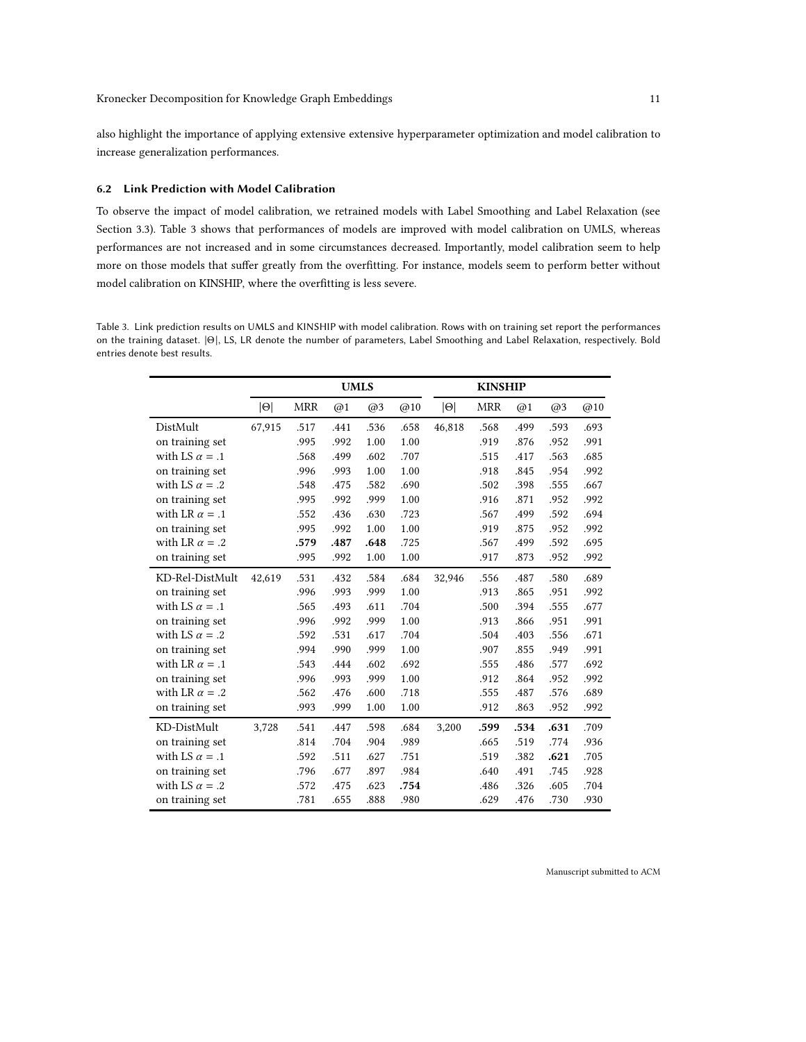also highlight the importance of applying extensive extensive hyperparameter optimization and model calibration to increase generalization performances.

### 6.2 Link Prediction with Model Calibration

To observe the impact of model calibration, we retrained models with Label Smoothing and Label Relaxation (see Section [3.3\)](#page-3-1). Table [3](#page-10-0) shows that performances of models are improved with model calibration on UMLS, whereas performances are not increased and in some circumstances decreased. Importantly, model calibration seem to help more on those models that suffer greatly from the overfitting. For instance, models seem to perform better without model calibration on KINSHIP, where the overfitting is less severe.

<span id="page-10-0"></span>Table 3. Link prediction results on UMLS and KINSHIP with model calibration. Rows with on training set report the performances on the training dataset. <sup>|</sup>Θ|, LS, LR denote the number of parameters, Label Smoothing and Label Relaxation, respectively. Bold entries denote best results.

|                       |            | <b>UMLS</b> |      |      | <b>KINSHIP</b> |            |            |      |      |      |
|-----------------------|------------|-------------|------|------|----------------|------------|------------|------|------|------|
|                       | $ \Theta $ | <b>MRR</b>  | @1   | @3   | @10            | $ \Theta $ | <b>MRR</b> | @1   | @3   | @10  |
| DistMult              | 67,915     | .517        | .441 | .536 | .658           | 46,818     | .568       | .499 | .593 | .693 |
| on training set       |            | .995        | .992 | 1.00 | 1.00           |            | .919       | .876 | .952 | .991 |
| with LS $\alpha = .1$ |            | .568        | .499 | .602 | .707           |            | .515       | .417 | .563 | .685 |
| on training set       |            | .996        | .993 | 1.00 | 1.00           |            | .918       | .845 | .954 | .992 |
| with LS $\alpha = .2$ |            | .548        | .475 | .582 | .690           |            | .502       | .398 | .555 | .667 |
| on training set       |            | .995        | .992 | .999 | 1.00           |            | .916       | .871 | .952 | .992 |
| with LR $\alpha = .1$ |            | .552        | .436 | .630 | .723           |            | .567       | .499 | .592 | .694 |
| on training set       |            | .995        | .992 | 1.00 | 1.00           |            | .919       | .875 | .952 | .992 |
| with LR $\alpha = .2$ |            | .579        | .487 | .648 | .725           |            | .567       | .499 | .592 | .695 |
| on training set       |            | .995        | .992 | 1.00 | 1.00           |            | .917       | .873 | .952 | .992 |
| KD-Rel-DistMult       | 42,619     | .531        | .432 | .584 | .684           | 32,946     | .556       | .487 | .580 | .689 |
| on training set       |            | .996        | .993 | .999 | 1.00           |            | .913       | .865 | .951 | .992 |
| with LS $\alpha = .1$ |            | .565        | .493 | .611 | .704           |            | .500       | .394 | .555 | .677 |
| on training set       |            | .996        | .992 | .999 | 1.00           |            | .913       | .866 | .951 | .991 |
| with LS $\alpha = .2$ |            | .592        | .531 | .617 | .704           |            | .504       | .403 | .556 | .671 |
| on training set       |            | .994        | .990 | .999 | 1.00           |            | .907       | .855 | .949 | .991 |
| with LR $\alpha = .1$ |            | .543        | .444 | .602 | .692           |            | .555       | .486 | .577 | .692 |
| on training set       |            | .996        | .993 | .999 | 1.00           |            | .912       | .864 | .952 | .992 |
| with LR $\alpha = .2$ |            | .562        | .476 | .600 | .718           |            | .555       | .487 | .576 | .689 |
| on training set       |            | .993        | .999 | 1.00 | 1.00           |            | .912       | .863 | .952 | .992 |
| KD-DistMult           | 3,728      | .541        | .447 | .598 | .684           | 3,200      | .599       | .534 | .631 | .709 |
| on training set       |            | .814        | .704 | .904 | .989           |            | .665       | .519 | .774 | .936 |
| with LS $\alpha = .1$ |            | .592        | .511 | .627 | .751           |            | .519       | .382 | .621 | .705 |
| on training set       |            | .796        | .677 | .897 | .984           |            | .640       | .491 | .745 | .928 |
| with LS $\alpha = .2$ |            | .572        | .475 | .623 | .754           |            | .486       | .326 | .605 | .704 |
| on training set       |            | .781        | .655 | .888 | .980           |            | .629       | .476 | .730 | .930 |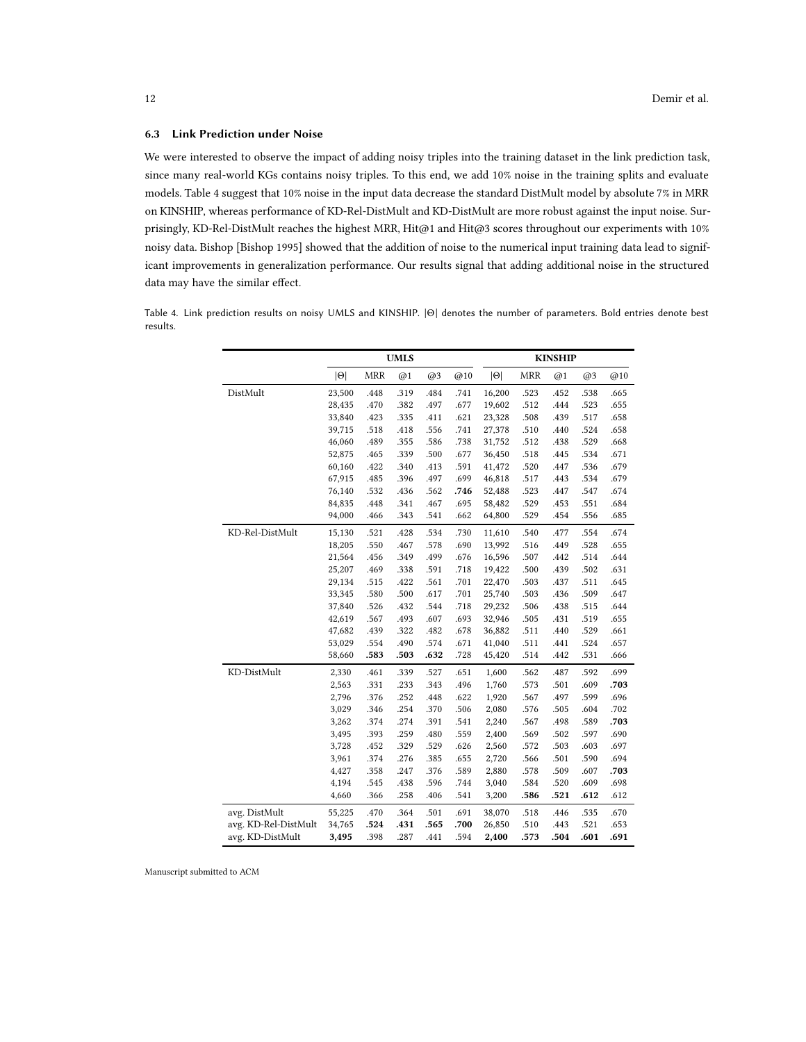#### 6.3 Link Prediction under Noise

We were interested to observe the impact of adding noisy triples into the training dataset in the link prediction task, since many real-world KGs contains noisy triples. To this end, we add 10% noise in the training splits and evaluate models. Table [4](#page-11-0) suggest that 10% noise in the input data decrease the standard DistMult model by absolute 7% in MRR on KINSHIP, whereas performance of KD-Rel-DistMult and KD-DistMult are more robust against the input noise. Surprisingly, KD-Rel-DistMult reaches the highest MRR, Hit@1 and Hit@3 scores throughout our experiments with 10% noisy data. Bishop [\[Bishop 1995\]](#page-14-14) showed that the addition of noise to the numerical input training data lead to significant improvements in generalization performance. Our results signal that adding additional noise in the structured data may have the similar effect.

<span id="page-11-0"></span>Table 4. Link prediction results on noisy UMLS and KINSHIP. <sup>|</sup>Θ<sup>|</sup> denotes the number of parameters. Bold entries denote best results.

|                      |            |            | <b>UMLS</b> |      |      |            |            | <b>KINSHIP</b> |      |      |
|----------------------|------------|------------|-------------|------|------|------------|------------|----------------|------|------|
|                      | $ \Theta $ | <b>MRR</b> | @1          | @3   | @10  | $ \Theta $ | <b>MRR</b> | @1             | @3   | @10  |
| DistMult             | 23,500     | .448       | .319        | .484 | .741 | 16,200     | .523       | .452           | .538 | .665 |
|                      | 28,435     | .470       | .382        | .497 | .677 | 19,602     | .512       | .444           | .523 | .655 |
|                      | 33,840     | .423       | .335        | .411 | .621 | 23,328     | .508       | .439           | .517 | .658 |
|                      | 39,715     | .518       | .418        | .556 | .741 | 27,378     | .510       | .440           | .524 | .658 |
|                      | 46,060     | .489       | .355        | .586 | .738 | 31,752     | .512       | .438           | .529 | .668 |
|                      | 52,875     | .465       | .339        | .500 | .677 | 36,450     | .518       | .445           | .534 | .671 |
|                      | 60,160     | .422       | .340        | .413 | .591 | 41,472     | .520       | .447           | .536 | .679 |
|                      | 67,915     | .485       | .396        | .497 | .699 | 46,818     | .517       | .443           | .534 | .679 |
|                      | 76,140     | .532       | .436        | .562 | .746 | 52,488     | .523       | .447           | .547 | .674 |
|                      | 84,835     | .448       | .341        | .467 | .695 | 58,482     | .529       | .453           | .551 | .684 |
|                      | 94,000     | .466       | .343        | .541 | .662 | 64,800     | .529       | .454           | .556 | .685 |
| KD-Rel-DistMult      | 15,130     | .521       | .428        | .534 | .730 | 11,610     | .540       | .477           | .554 | .674 |
|                      | 18,205     | .550       | .467        | .578 | .690 | 13,992     | .516       | .449           | .528 | .655 |
|                      | 21,564     | .456       | .349        | .499 | .676 | 16,596     | .507       | .442           | .514 | .644 |
|                      | 25,207     | .469       | .338        | .591 | .718 | 19,422     | .500       | .439           | .502 | .631 |
|                      | 29,134     | .515       | .422        | .561 | .701 | 22,470     | .503       | .437           | .511 | .645 |
|                      | 33,345     | .580       | .500        | .617 | .701 | 25,740     | .503       | .436           | .509 | .647 |
|                      | 37,840     | .526       | .432        | .544 | .718 | 29,232     | .506       | .438           | .515 | .644 |
|                      | 42,619     | .567       | .493        | .607 | .693 | 32,946     | .505       | .431           | .519 | .655 |
|                      | 47,682     | .439       | .322        | .482 | .678 | 36,882     | .511       | .440           | .529 | .661 |
|                      | 53,029     | .554       | .490        | .574 | .671 | 41,040     | .511       | .441           | .524 | .657 |
|                      | 58,660     | .583       | .503        | .632 | .728 | 45,420     | .514       | .442           | .531 | .666 |
| KD-DistMult          | 2,330      | .461       | .339        | .527 | .651 | 1,600      | .562       | .487           | .592 | .699 |
|                      | 2,563      | .331       | .233        | .343 | .496 | 1,760      | .573       | .501           | .609 | .703 |
|                      | 2,796      | .376       | .252        | .448 | .622 | 1,920      | .567       | .497           | .599 | .696 |
|                      | 3,029      | .346       | .254        | .370 | .506 | 2,080      | .576       | .505           | .604 | .702 |
|                      | 3,262      | .374       | .274        | .391 | .541 | 2,240      | .567       | .498           | .589 | .703 |
|                      | 3,495      | .393       | .259        | .480 | .559 | 2,400      | .569       | .502           | .597 | .690 |
|                      | 3,728      | .452       | .329        | .529 | .626 | 2,560      | .572       | .503           | .603 | .697 |
|                      | 3,961      | .374       | .276        | .385 | .655 | 2,720      | .566       | .501           | .590 | .694 |
|                      | 4,427      | .358       | .247        | .376 | .589 | 2,880      | .578       | .509           | .607 | .703 |
|                      | 4,194      | .545       | .438        | .596 | .744 | 3,040      | .584       | .520           | .609 | .698 |
|                      | 4,660      | .366       | .258        | .406 | .541 | 3,200      | .586       | .521           | .612 | .612 |
| avg. DistMult        | 55,225     | .470       | .364        | .501 | .691 | 38,070     | .518       | .446           | .535 | .670 |
| avg. KD-Rel-DistMult | 34,765     | .524       | .431        | .565 | .700 | 26,850     | .510       | .443           | .521 | .653 |
| avg. KD-DistMult     | 3,495      | .398       | .287        | .441 | .594 | 2,400      | .573       | .504           | .601 | .691 |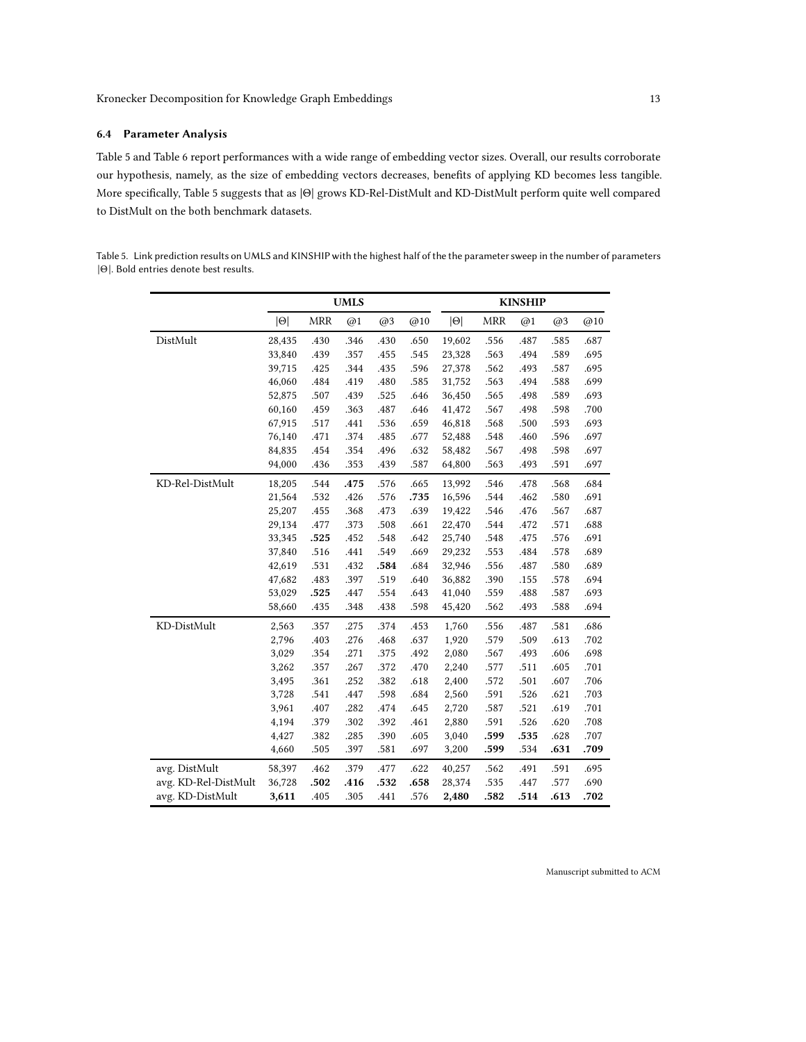## 6.4 Parameter Analysis

Table [5](#page-12-0) and Table [6](#page-13-0) report performances with a wide range of embedding vector sizes. Overall, our results corroborate our hypothesis, namely, as the size of embedding vectors decreases, benefits of applying KD becomes less tangible. More specifically, Table [5](#page-12-0) suggests that as <sup>|</sup>Θ<sup>|</sup> grows KD-Rel-DistMult and KD-DistMult perform quite well compared to DistMult on the both benchmark datasets.

<span id="page-12-0"></span>Table 5. Link prediction results on UMLS and KINSHIP with the highest half of the the parameter sweep in the number of parameters <sup>|</sup>Θ|. Bold entries denote best results.

|                      |            |            | <b>UMLS</b> |      |      | <b>KINSHIP</b> |            |      |      |      |  |  |
|----------------------|------------|------------|-------------|------|------|----------------|------------|------|------|------|--|--|
|                      | $ \Theta $ | <b>MRR</b> | @1          | @3   | @10  | $ \Theta $     | <b>MRR</b> | @1   | @3   | @10  |  |  |
| DistMult             | 28,435     | .430       | .346        | .430 | .650 | 19,602         | .556       | .487 | .585 | .687 |  |  |
|                      | 33,840     | .439       | .357        | .455 | .545 | 23,328         | .563       | .494 | .589 | .695 |  |  |
|                      | 39,715     | .425       | .344        | .435 | .596 | 27,378         | .562       | .493 | .587 | .695 |  |  |
|                      | 46,060     | .484       | .419        | .480 | .585 | 31,752         | .563       | .494 | .588 | .699 |  |  |
|                      | 52,875     | .507       | .439        | .525 | .646 | 36,450         | .565       | .498 | .589 | .693 |  |  |
|                      | 60,160     | .459       | .363        | .487 | .646 | 41,472         | .567       | .498 | .598 | .700 |  |  |
|                      | 67,915     | .517       | .441        | .536 | .659 | 46,818         | .568       | .500 | .593 | .693 |  |  |
|                      | 76,140     | .471       | .374        | .485 | .677 | 52,488         | .548       | .460 | .596 | .697 |  |  |
|                      | 84,835     | .454       | .354        | .496 | .632 | 58,482         | .567       | .498 | .598 | .697 |  |  |
|                      | 94,000     | .436       | .353        | .439 | .587 | 64,800         | .563       | .493 | .591 | .697 |  |  |
| KD-Rel-DistMult      | 18,205     | .544       | .475        | .576 | .665 | 13,992         | .546       | .478 | .568 | .684 |  |  |
|                      | 21,564     | .532       | .426        | .576 | .735 | 16,596         | .544       | .462 | .580 | .691 |  |  |
|                      | 25,207     | .455       | .368        | .473 | .639 | 19,422         | .546       | .476 | .567 | .687 |  |  |
|                      | 29,134     | .477       | .373        | .508 | .661 | 22,470         | .544       | .472 | .571 | .688 |  |  |
|                      | 33,345     | .525       | .452        | .548 | .642 | 25,740         | .548       | .475 | .576 | .691 |  |  |
|                      | 37,840     | .516       | .441        | .549 | .669 | 29,232         | .553       | .484 | .578 | .689 |  |  |
|                      | 42,619     | .531       | .432        | .584 | .684 | 32,946         | .556       | .487 | .580 | .689 |  |  |
|                      | 47,682     | .483       | .397        | .519 | .640 | 36,882         | .390       | .155 | .578 | .694 |  |  |
|                      | 53,029     | .525       | .447        | .554 | .643 | 41,040         | .559       | .488 | .587 | .693 |  |  |
|                      | 58,660     | .435       | .348        | .438 | .598 | 45,420         | .562       | .493 | .588 | .694 |  |  |
| KD-DistMult          | 2,563      | .357       | .275        | .374 | .453 | 1,760          | .556       | .487 | .581 | .686 |  |  |
|                      | 2,796      | .403       | .276        | .468 | .637 | 1,920          | .579       | .509 | .613 | .702 |  |  |
|                      | 3,029      | .354       | .271        | .375 | .492 | 2,080          | .567       | .493 | .606 | .698 |  |  |
|                      | 3,262      | .357       | .267        | .372 | .470 | 2,240          | .577       | .511 | .605 | .701 |  |  |
|                      | 3,495      | .361       | .252        | .382 | .618 | 2,400          | .572       | .501 | .607 | .706 |  |  |
|                      | 3,728      | .541       | .447        | .598 | .684 | 2,560          | .591       | .526 | .621 | .703 |  |  |
|                      | 3,961      | .407       | .282        | .474 | .645 | 2,720          | .587       | .521 | .619 | .701 |  |  |
|                      | 4,194      | .379       | .302        | .392 | .461 | 2,880          | .591       | .526 | .620 | .708 |  |  |
|                      | 4,427      | .382       | .285        | .390 | .605 | 3,040          | .599       | .535 | .628 | .707 |  |  |
|                      | 4,660      | .505       | .397        | .581 | .697 | 3,200          | .599       | .534 | .631 | .709 |  |  |
| avg. DistMult        | 58,397     | .462       | .379        | .477 | .622 | 40,257         | .562       | .491 | .591 | .695 |  |  |
| avg. KD-Rel-DistMult | 36,728     | .502       | .416        | .532 | .658 | 28,374         | .535       | .447 | .577 | .690 |  |  |
| avg. KD-DistMult     | 3,611      | .405       | .305        | .441 | .576 | 2,480          | .582       | .514 | .613 | .702 |  |  |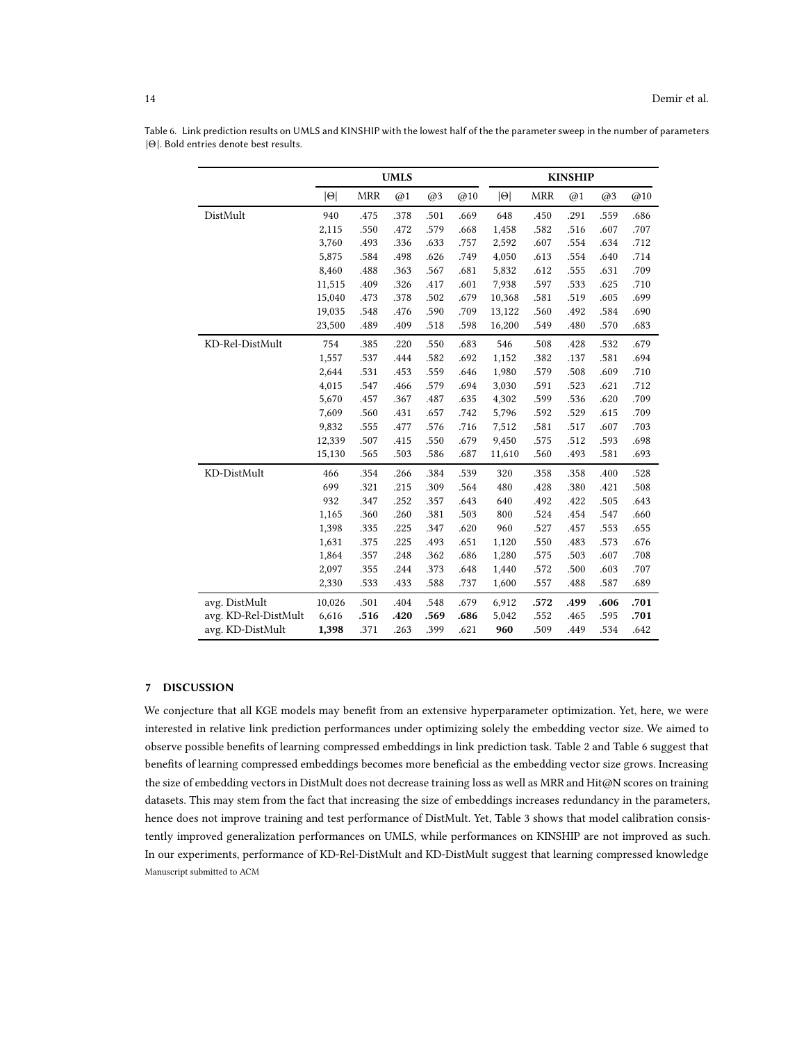|                      |            |            | <b>UMLS</b> |      |      | <b>KINSHIP</b> |            |      |      |      |  |
|----------------------|------------|------------|-------------|------|------|----------------|------------|------|------|------|--|
|                      | $ \Theta $ | <b>MRR</b> | @1          | @3   | @10  | $ \Theta $     | <b>MRR</b> | @1   | @3   | @10  |  |
| DistMult             | 940        | .475       | .378        | .501 | .669 | 648            | .450       | .291 | .559 | .686 |  |
|                      | 2,115      | .550       | .472        | .579 | .668 | 1,458          | .582       | .516 | .607 | .707 |  |
|                      | 3,760      | .493       | .336        | .633 | .757 | 2,592          | .607       | .554 | .634 | .712 |  |
|                      | 5,875      | .584       | .498        | .626 | .749 | 4,050          | .613       | .554 | .640 | .714 |  |
|                      | 8,460      | .488       | .363        | .567 | .681 | 5,832          | .612       | .555 | .631 | .709 |  |
|                      | 11,515     | .409       | .326        | .417 | .601 | 7,938          | .597       | .533 | .625 | .710 |  |
|                      | 15,040     | .473       | .378        | .502 | .679 | 10,368         | .581       | .519 | .605 | .699 |  |
|                      | 19,035     | .548       | .476        | .590 | .709 | 13,122         | .560       | .492 | .584 | .690 |  |
|                      | 23,500     | .489       | .409        | .518 | .598 | 16,200         | .549       | .480 | .570 | .683 |  |
| KD-Rel-DistMult      | 754        | .385       | .220        | .550 | .683 | 546            | .508       | .428 | .532 | .679 |  |
|                      | 1,557      | .537       | .444        | .582 | .692 | 1,152          | .382       | .137 | .581 | .694 |  |
|                      | 2,644      | .531       | .453        | .559 | .646 | 1,980          | .579       | .508 | .609 | .710 |  |
|                      | 4,015      | .547       | .466        | .579 | .694 | 3,030          | .591       | .523 | .621 | .712 |  |
|                      | 5,670      | .457       | .367        | .487 | .635 | 4,302          | .599       | .536 | .620 | .709 |  |
|                      | 7,609      | .560       | .431        | .657 | .742 | 5,796          | .592       | .529 | .615 | .709 |  |
|                      | 9,832      | .555       | .477        | .576 | .716 | 7,512          | .581       | .517 | .607 | .703 |  |
|                      | 12,339     | .507       | .415        | .550 | .679 | 9,450          | .575       | .512 | .593 | .698 |  |
|                      | 15,130     | .565       | .503        | .586 | .687 | 11,610         | .560       | .493 | .581 | .693 |  |
| KD-DistMult          | 466        | .354       | .266        | .384 | .539 | 320            | .358       | .358 | .400 | .528 |  |
|                      | 699        | .321       | .215        | .309 | .564 | 480            | .428       | .380 | .421 | .508 |  |
|                      | 932        | .347       | .252        | .357 | .643 | 640            | .492       | .422 | .505 | .643 |  |
|                      | 1,165      | .360       | .260        | .381 | .503 | 800            | .524       | .454 | .547 | .660 |  |
|                      | 1,398      | .335       | .225        | .347 | .620 | 960            | .527       | .457 | .553 | .655 |  |
|                      | 1,631      | .375       | .225        | .493 | .651 | 1,120          | .550       | .483 | .573 | .676 |  |
|                      | 1,864      | .357       | .248        | .362 | .686 | 1,280          | .575       | .503 | .607 | .708 |  |
|                      | 2,097      | .355       | .244        | .373 | .648 | 1,440          | .572       | .500 | .603 | .707 |  |
|                      | 2,330      | .533       | .433        | .588 | .737 | 1,600          | .557       | .488 | .587 | .689 |  |
| avg. DistMult        | 10,026     | .501       | .404        | .548 | .679 | 6,912          | .572       | .499 | .606 | .701 |  |
| avg. KD-Rel-DistMult | 6,616      | .516       | .420        | .569 | .686 | 5,042          | .552       | .465 | .595 | .701 |  |
| avg. KD-DistMult     | 1,398      | .371       | .263        | .399 | .621 | 960            | .509       | .449 | .534 | .642 |  |

<span id="page-13-0"></span>Table 6. Link prediction results on UMLS and KINSHIP with the lowest half of the the parameter sweep in the number of parameters <sup>|</sup>Θ|. Bold entries denote best results.

### 7 DISCUSSION

We conjecture that all KGE models may benefit from an extensive hyperparameter optimization. Yet, here, we were interested in relative link prediction performances under optimizing solely the embedding vector size. We aimed to observe possible benefits of learning compressed embeddings in link prediction task. Table [2](#page-9-3) and Table [6](#page-13-0) suggest that benefits of learning compressed embeddings becomes more beneficial as the embedding vector size grows. Increasing the size of embedding vectors in DistMult does not decrease training loss as well as MRR and Hit@N scores on training datasets. This may stem from the fact that increasing the size of embeddings increases redundancy in the parameters, hence does not improve training and test performance of DistMult. Yet, Table [3](#page-10-0) shows that model calibration consistently improved generalization performances on UMLS, while performances on KINSHIP are not improved as such. In our experiments, performance of KD-Rel-DistMult and KD-DistMult suggest that learning compressed knowledge Manuscript submitted to ACM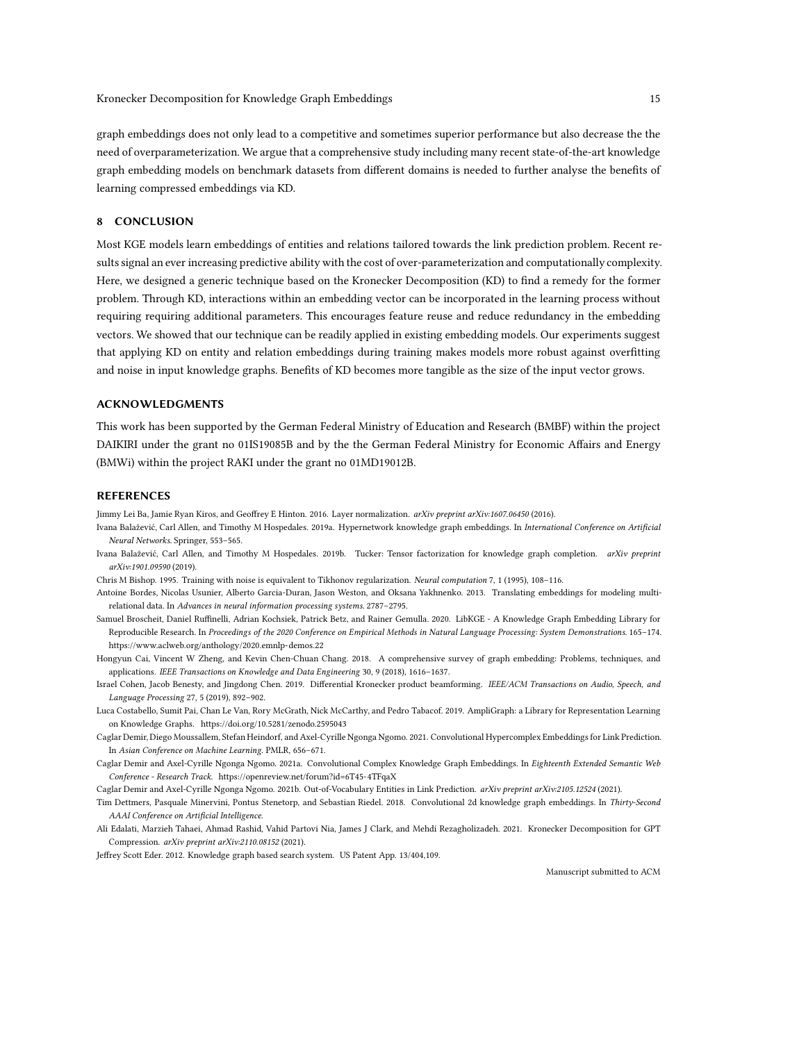graph embeddings does not only lead to a competitive and sometimes superior performance but also decrease the the need of overparameterization. We argue that a comprehensive study including many recent state-of-the-art knowledge graph embedding models on benchmark datasets from different domains is needed to further analyse the benefits of learning compressed embeddings via KD.

### 8 CONCLUSION

Most KGE models learn embeddings of entities and relations tailored towards the link prediction problem. Recent results signal an ever increasing predictive ability with the cost of over-parameterization and computationally complexity. Here, we designed a generic technique based on the Kronecker Decomposition (KD) to find a remedy for the former problem. Through KD, interactions within an embedding vector can be incorporated in the learning process without requiring requiring additional parameters. This encourages feature reuse and reduce redundancy in the embedding vectors. We showed that our technique can be readily applied in existing embedding models. Our experiments suggest that applying KD on entity and relation embeddings during training makes models more robust against overfitting and noise in input knowledge graphs. Benefits of KD becomes more tangible as the size of the input vector grows.

### ACKNOWLEDGMENTS

This work has been supported by the German Federal Ministry of Education and Research (BMBF) within the project DAIKIRI under the grant no 01IS19085B and by the the German Federal Ministry for Economic Affairs and Energy (BMWi) within the project RAKI under the grant no 01MD19012B.

#### **REFERENCES**

<span id="page-14-10"></span>Jimmy Lei Ba, Jamie Ryan Kiros, and Geoffrey E Hinton. 2016. Layer normalization. arXiv preprint arXiv:1607.06450 (2016).

- <span id="page-14-6"></span>Ivana Balažević, Carl Allen, and Timothy M Hospedales. 2019a. Hypernetwork knowledge graph embeddings. In International Conference on Artificial Neural Networks. Springer, 553–565.
- <span id="page-14-8"></span>Ivana Balažević, Carl Allen, and Timothy M Hospedales. 2019b. Tucker: Tensor factorization for knowledge graph completion. arXiv preprint arXiv:1901.09590 (2019).
- <span id="page-14-14"></span>Chris M Bishop. 1995. Training with noise is equivalent to Tikhonov regularization. Neural computation 7, 1 (1995), 108–116.
- <span id="page-14-4"></span>Antoine Bordes, Nicolas Usunier, Alberto Garcia-Duran, Jason Weston, and Oksana Yakhnenko. 2013. Translating embeddings for modeling multirelational data. In Advances in neural information processing systems. 2787–2795.
- <span id="page-14-11"></span>Samuel Broscheit, Daniel Ruffinelli, Adrian Kochsiek, Patrick Betz, and Rainer Gemulla. 2020. LibKGE - A Knowledge Graph Embedding Library for Reproducible Research. In Proceedings of the 2020 Conference on Empirical Methods in Natural Language Processing: System Demonstrations. 165–174. <https://www.aclweb.org/anthology/2020.emnlp-demos.22>
- <span id="page-14-2"></span>Hongyun Cai, Vincent W Zheng, and Kevin Chen-Chuan Chang. 2018. A comprehensive survey of graph embedding: Problems, techniques, and applications. IEEE Transactions on Knowledge and Data Engineering 30, 9 (2018), 1616–1637.
- <span id="page-14-9"></span>Israel Cohen, Jacob Benesty, and Jingdong Chen. 2019. Differential Kronecker product beamforming. IEEE/ACM Transactions on Audio, Speech, and Language Processing 27, 5 (2019), 892–902.
- <span id="page-14-13"></span>Luca Costabello, Sumit Pai, Chan Le Van, Rory McGrath, Nick McCarthy, and Pedro Tabacof. 2019. AmpliGraph: a Library for Representation Learning on Knowledge Graphs.<https://doi.org/10.5281/zenodo.2595043>
- <span id="page-14-7"></span>Caglar Demir, Diego Moussallem, Stefan Heindorf, and Axel-Cyrille Ngonga Ngomo. 2021. Convolutional Hypercomplex Embeddings for Link Prediction. In Asian Conference on Machine Learning. PMLR, 656–671.
- <span id="page-14-0"></span>Caglar Demir and Axel-Cyrille Ngonga Ngomo. 2021a. Convolutional Complex Knowledge Graph Embeddings. In Eighteenth Extended Semantic Web Conference - Research Track.<https://openreview.net/forum?id=6T45-4TFqaX>
- <span id="page-14-12"></span>Caglar Demir and Axel-Cyrille Ngonga Ngomo. 2021b. Out-of-Vocabulary Entities in Link Prediction. arXiv preprint arXiv:2105.12524 (2021).
- <span id="page-14-1"></span>Tim Dettmers, Pasquale Minervini, Pontus Stenetorp, and Sebastian Riedel. 2018. Convolutional 2d knowledge graph embeddings. In Thirty-Second AAAI Conference on Artificial Intelligence.
- <span id="page-14-5"></span>Ali Edalati, Marzieh Tahaei, Ahmad Rashid, Vahid Partovi Nia, James J Clark, and Mehdi Rezagholizadeh. 2021. Kronecker Decomposition for GPT Compression. arXiv preprint arXiv:2110.08152 (2021).
- <span id="page-14-3"></span>Jeffrey Scott Eder. 2012. Knowledge graph based search system. US Patent App. 13/404,109.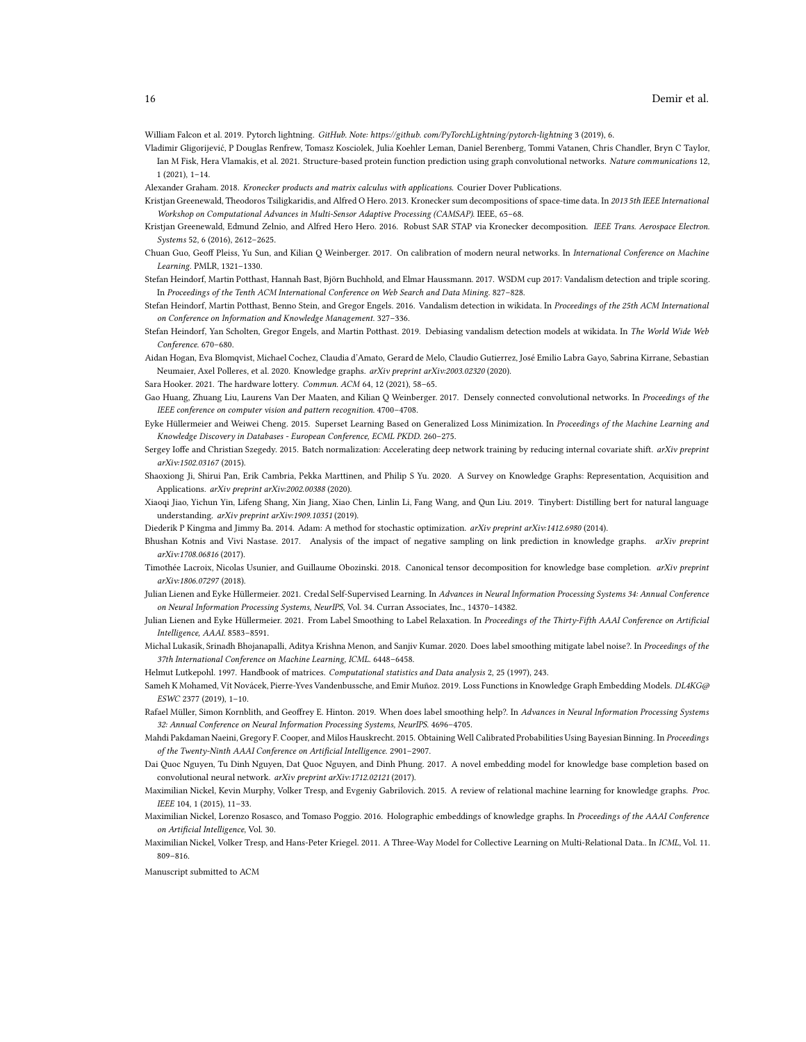<span id="page-15-26"></span>William Falcon et al. 2019. Pytorch lightning. GitHub. Note: https://github. com/PyTorchLightning/pytorch-lightning 3 (2019), 6.

- <span id="page-15-4"></span>Vladimir Gligorijević, P Douglas Renfrew, Tomasz Kosciolek, Julia Koehler Leman, Daniel Berenberg, Tommi Vatanen, Chris Chandler, Bryn C Taylor, Ian M Fisk, Hera Vlamakis, et al. 2021. Structure-based protein function prediction using graph convolutional networks. Nature communications 12, 1 (2021), 1–14.
- <span id="page-15-18"></span>Alexander Graham. 2018. Kronecker products and matrix calculus with applications. Courier Dover Publications.
- <span id="page-15-19"></span>Kristjan Greenewald, Theodoros Tsiligkaridis, and Alfred O Hero. 2013. Kronecker sum decompositions of space-time data. In 2013 5th IEEE International Workshop on Computational Advances in Multi-Sensor Adaptive Processing (CAMSAP). IEEE, 65–68.
- <span id="page-15-20"></span>Kristjan Greenewald, Edmund Zelnio, and Alfred Hero Hero. 2016. Robust SAR STAP via Kronecker decomposition. IEEE Trans. Aerospace Electron. Systems 52, 6 (2016), 2612–2625.
- <span id="page-15-11"></span>Chuan Guo, Geoff Pleiss, Yu Sun, and Kilian Q Weinberger. 2017. On calibration of modern neural networks. In International Conference on Machine Learning. PMLR, 1321–1330.
- <span id="page-15-13"></span>Stefan Heindorf, Martin Potthast, Hannah Bast, Björn Buchhold, and Elmar Haussmann. 2017. WSDM cup 2017: Vandalism detection and triple scoring. In Proceedings of the Tenth ACM International Conference on Web Search and Data Mining. 827–828.
- <span id="page-15-14"></span>Stefan Heindorf, Martin Potthast, Benno Stein, and Gregor Engels. 2016. Vandalism detection in wikidata. In Proceedings of the 25th ACM International on Conference on Information and Knowledge Management. 327–336.
- <span id="page-15-15"></span>Stefan Heindorf, Yan Scholten, Gregor Engels, and Martin Potthast. 2019. Debiasing vandalism detection models at wikidata. In The World Wide Web Conference. 670–680.
- <span id="page-15-8"></span>Aidan Hogan, Eva Blomqvist, Michael Cochez, Claudia d'Amato, Gerard de Melo, Claudio Gutierrez, José Emilio Labra Gayo, Sabrina Kirrane, Sebastian Neumaier, Axel Polleres, et al. 2020. Knowledge graphs. arXiv preprint arXiv:2003.02320 (2020).

<span id="page-15-3"></span>Sara Hooker. 2021. The hardware lottery. Commun. ACM 64, 12 (2021), 58–65.

- <span id="page-15-22"></span>Gao Huang, Zhuang Liu, Laurens Van Der Maaten, and Kilian Q Weinberger. 2017. Densely connected convolutional networks. In Proceedings of the IEEE conference on computer vision and pattern recognition. 4700–4708.
- <span id="page-15-16"></span>Eyke Hüllermeier and Weiwei Cheng. 2015. Superset Learning Based on Generalized Loss Minimization. In Proceedings of the Machine Learning and Knowledge Discovery in Databases - European Conference, ECML PKDD. 260–275.
- <span id="page-15-23"></span>Sergey Ioffe and Christian Szegedy. 2015. Batch normalization: Accelerating deep network training by reducing internal covariate shift. arXiv preprint arXiv:1502.03167 (2015).
- <span id="page-15-1"></span>Shaoxiong Ji, Shirui Pan, Erik Cambria, Pekka Marttinen, and Philip S Yu. 2020. A Survey on Knowledge Graphs: Representation, Acquisition and Applications. arXiv preprint arXiv:2002.00388 (2020).
- <span id="page-15-2"></span>Xiaoqi Jiao, Yichun Yin, Lifeng Shang, Xin Jiang, Xiao Chen, Linlin Li, Fang Wang, and Qun Liu. 2019. Tinybert: Distilling bert for natural language understanding. arXiv preprint arXiv:1909.10351 (2019).
- <span id="page-15-24"></span>Diederik P Kingma and Jimmy Ba. 2014. Adam: A method for stochastic optimization. arXiv preprint arXiv:1412.6980 (2014).
- <span id="page-15-9"></span>Bhushan Kotnis and Vivi Nastase. 2017. Analysis of the impact of negative sampling on link prediction in knowledge graphs. arXiv preprint arXiv:1708.06816 (2017).
- <span id="page-15-10"></span>Timothée Lacroix, Nicolas Usunier, and Guillaume Obozinski. 2018. Canonical tensor decomposition for knowledge base completion. arXiv preprint arXiv:1806.07297 (2018).
- <span id="page-15-17"></span>Julian Lienen and Eyke Hüllermeier. 2021. Credal Self-Supervised Learning. In Advances in Neural Information Processing Systems 34: Annual Conference on Neural Information Processing Systems, NeurIPS, Vol. 34. Curran Associates, Inc., 14370–14382.
- Julian Lienen and Eyke Hüllermeier. 2021. From Label Smoothing to Label Relaxation. In Proceedings of the Thirty-Fifth AAAI Conference on Artificial Intelligence, AAAI. 8583–8591.
- Michal Lukasik, Srinadh Bhojanapalli, Aditya Krishna Menon, and Sanjiv Kumar. 2020. Does label smoothing mitigate label noise?. In Proceedings of the 37th International Conference on Machine Learning, ICML. 6448–6458.
- <span id="page-15-21"></span>Helmut Lutkepohl. 1997. Handbook of matrices. Computational statistics and Data analysis 2, 25 (1997), 243.
- <span id="page-15-25"></span>Sameh K Mohamed, Vít Novácek, Pierre-Yves Vandenbussche, and Emir Muñoz. 2019. Loss Functions in Knowledge Graph Embedding Models. DL4KG@ ESWC 2377 (2019), 1–10.
- Rafael Müller, Simon Kornblith, and Geoffrey E. Hinton. 2019. When does label smoothing help?. In Advances in Neural Information Processing Systems 32: Annual Conference on Neural Information Processing Systems, NeurIPS. 4696–4705.
- <span id="page-15-12"></span>Mahdi Pakdaman Naeini, Gregory F. Cooper, and Milos Hauskrecht. 2015. Obtaining Well Calibrated Probabilities Using Bayesian Binning. In Proceedings of the Twenty-Ninth AAAI Conference on Artificial Intelligence. 2901–2907.
- <span id="page-15-7"></span>Dai Quoc Nguyen, Tu Dinh Nguyen, Dat Quoc Nguyen, and Dinh Phung. 2017. A novel embedding model for knowledge base completion based on convolutional neural network. arXiv preprint arXiv:1712.02121 (2017).
- <span id="page-15-0"></span>Maximilian Nickel, Kevin Murphy, Volker Tresp, and Evgeniy Gabrilovich. 2015. A review of relational machine learning for knowledge graphs. Proc. IEEE 104, 1 (2015), 11–33.
- <span id="page-15-6"></span>Maximilian Nickel, Lorenzo Rosasco, and Tomaso Poggio. 2016. Holographic embeddings of knowledge graphs. In Proceedings of the AAAI Conference on Artificial Intelligence, Vol. 30.
- <span id="page-15-5"></span>Maximilian Nickel, Volker Tresp, and Hans-Peter Kriegel. 2011. A Three-Way Model for Collective Learning on Multi-Relational Data.. In ICML, Vol. 11. 809–816.